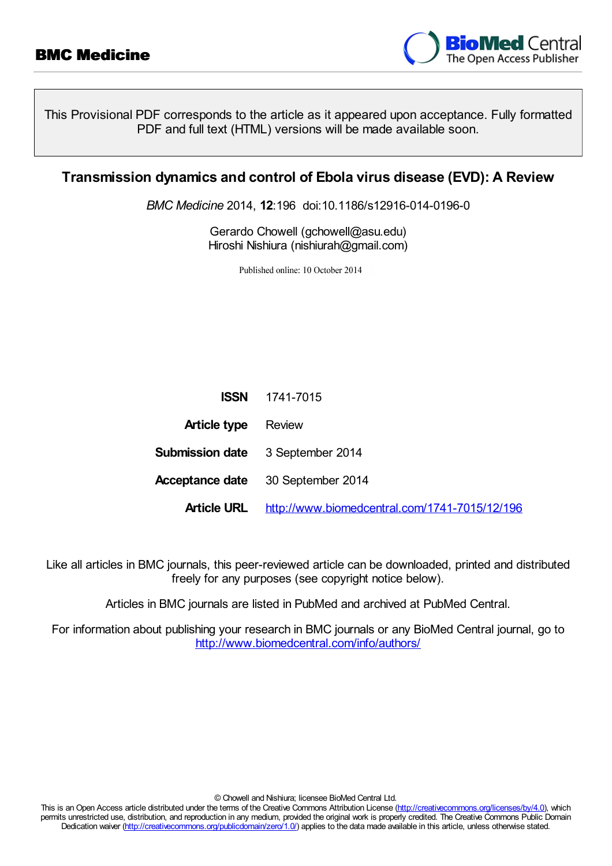

This Provisional PDF corresponds to the article as it appeared upon acceptance. Fully formatted PDF and full text (HTML) versions will be made available soon.

### **Transmission dynamics and control of Ebola virus disease (EVD): A Review**

*BMC Medicine* 2014, **12**:196 doi:10.1186/s12916-014-0196-0

Gerardo Chowell (gchowell@asu.edu) Hiroshi Nishiura (nishiurah@gmail.com)

Published online: 10 October 2014

| <b>ISSN</b>            | 1741-7015                                     |
|------------------------|-----------------------------------------------|
| <b>Article type</b>    | <b>Review</b>                                 |
| <b>Submission date</b> | 3 September 2014                              |
|                        | <b>Acceptance date</b> 30 September 2014      |
| <b>Article URL</b>     | http://www.biomedcentral.com/1741-7015/12/196 |

Like all articles in BMC journals, this peer-reviewed article can be downloaded, printed and distributed freely for any purposes (see copyright notice below).

Articles in BMC journals are listed in PubMed and archived at PubMed Central.

For information about publishing your research in BMC journals or any BioMed Central journal, go to <http://www.biomedcentral.com/info/authors/>

© Chowell and Nishiura; licensee BioMed Central Ltd.

This is an Open Access article distributed under the terms of the Creative Commons Attribution License [\(http://creativecommons.org/licenses/by/4.0](http://creativecommons.org/licenses/by/4.0)), which permits unrestricted use, distribution, and reproduction in any medium, provided the original work is properly credited. The Creative Commons Public Domain Dedication waiver [\(http://creativecommons.org/publicdomain/zero/1.0/](http://creativecommons.org/publicdomain/zero/1.0/)) applies to the data made available in this article, unless otherwise stated.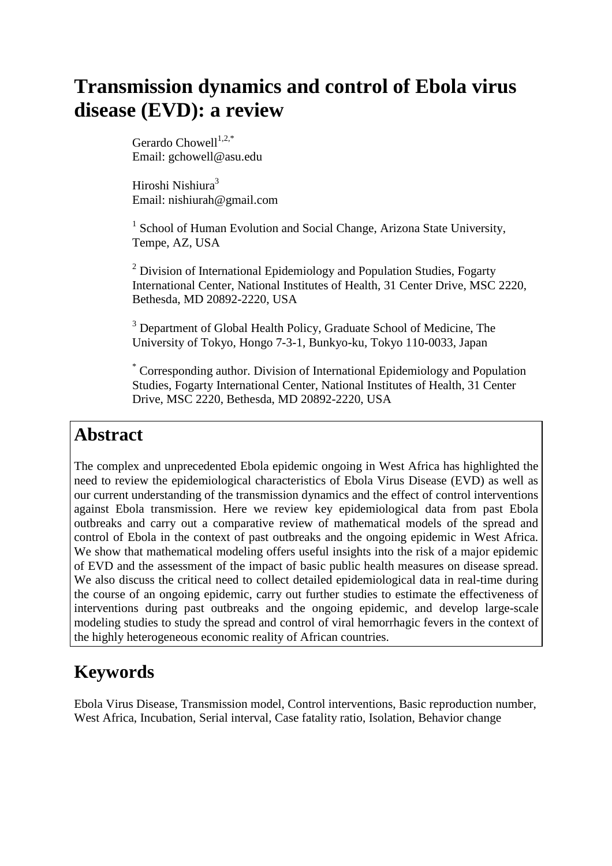# **Transmission dynamics and control of Ebola virus disease (EVD): a review**

Gerardo Chowell $1,2,*$ Email: gchowell@asu.edu

Hiroshi Nishiura<sup>3</sup> Email: nishiurah@gmail.com

<sup>1</sup> School of Human Evolution and Social Change, Arizona State University, Tempe, AZ, USA

<sup>2</sup> Division of International Epidemiology and Population Studies, Fogarty International Center, National Institutes of Health, 31 Center Drive, MSC 2220, Bethesda, MD 20892-2220, USA

<sup>3</sup> Department of Global Health Policy, Graduate School of Medicine, The University of Tokyo, Hongo 7-3-1, Bunkyo-ku, Tokyo 110-0033, Japan

\* Corresponding author. Division of International Epidemiology and Population Studies, Fogarty International Center, National Institutes of Health, 31 Center Drive, MSC 2220, Bethesda, MD 20892-2220, USA

## **Abstract**

The complex and unprecedented Ebola epidemic ongoing in West Africa has highlighted the need to review the epidemiological characteristics of Ebola Virus Disease (EVD) as well as our current understanding of the transmission dynamics and the effect of control interventions against Ebola transmission. Here we review key epidemiological data from past Ebola outbreaks and carry out a comparative review of mathematical models of the spread and control of Ebola in the context of past outbreaks and the ongoing epidemic in West Africa. We show that mathematical modeling offers useful insights into the risk of a major epidemic of EVD and the assessment of the impact of basic public health measures on disease spread. We also discuss the critical need to collect detailed epidemiological data in real-time during the course of an ongoing epidemic, carry out further studies to estimate the effectiveness of interventions during past outbreaks and the ongoing epidemic, and develop large-scale modeling studies to study the spread and control of viral hemorrhagic fevers in the context of the highly heterogeneous economic reality of African countries.

## **Keywords**

Ebola Virus Disease, Transmission model, Control interventions, Basic reproduction number, West Africa, Incubation, Serial interval, Case fatality ratio, Isolation, Behavior change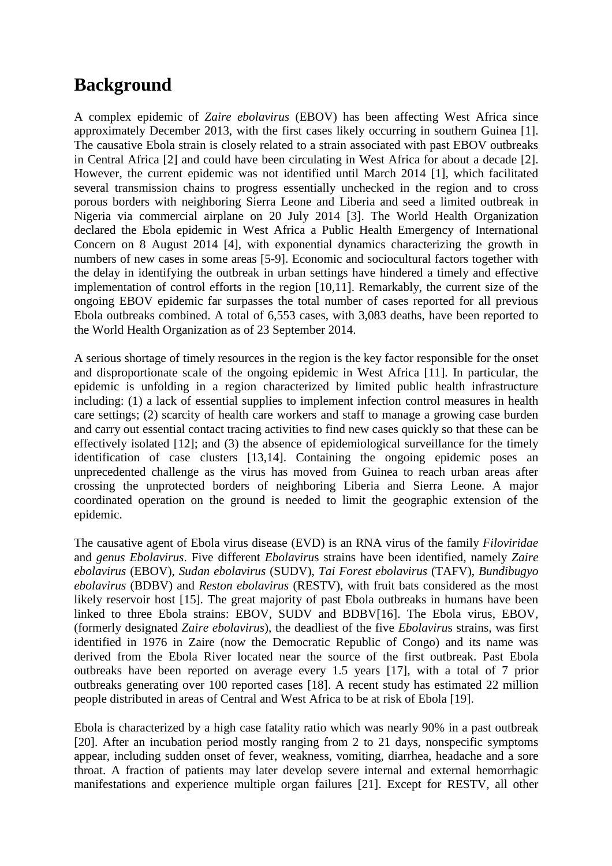## **Background**

A complex epidemic of *Zaire ebolavirus* (EBOV) has been affecting West Africa since approximately December 2013, with the first cases likely occurring in southern Guinea [1]. The causative Ebola strain is closely related to a strain associated with past EBOV outbreaks in Central Africa [2] and could have been circulating in West Africa for about a decade [2]. However, the current epidemic was not identified until March 2014 [1], which facilitated several transmission chains to progress essentially unchecked in the region and to cross porous borders with neighboring Sierra Leone and Liberia and seed a limited outbreak in Nigeria via commercial airplane on 20 July 2014 [3]. The World Health Organization declared the Ebola epidemic in West Africa a Public Health Emergency of International Concern on 8 August 2014 [4], with exponential dynamics characterizing the growth in numbers of new cases in some areas [5-9]. Economic and sociocultural factors together with the delay in identifying the outbreak in urban settings have hindered a timely and effective implementation of control efforts in the region [10,11]. Remarkably, the current size of the ongoing EBOV epidemic far surpasses the total number of cases reported for all previous Ebola outbreaks combined. A total of 6,553 cases, with 3,083 deaths, have been reported to the World Health Organization as of 23 September 2014.

A serious shortage of timely resources in the region is the key factor responsible for the onset and disproportionate scale of the ongoing epidemic in West Africa [11]. In particular, the epidemic is unfolding in a region characterized by limited public health infrastructure including: (1) a lack of essential supplies to implement infection control measures in health care settings; (2) scarcity of health care workers and staff to manage a growing case burden and carry out essential contact tracing activities to find new cases quickly so that these can be effectively isolated [12]; and (3) the absence of epidemiological surveillance for the timely identification of case clusters [13,14]. Containing the ongoing epidemic poses an unprecedented challenge as the virus has moved from Guinea to reach urban areas after crossing the unprotected borders of neighboring Liberia and Sierra Leone. A major coordinated operation on the ground is needed to limit the geographic extension of the epidemic.

The causative agent of Ebola virus disease (EVD) is an RNA virus of the family *Filoviridae* and *genus Ebolavirus*. Five different *Ebolaviru*s strains have been identified, namely *Zaire ebolavirus* (EBOV), *Sudan ebolavirus* (SUDV), *Tai Forest ebolavirus* (TAFV), *Bundibugyo ebolavirus* (BDBV) and *Reston ebolavirus* (RESTV), with fruit bats considered as the most likely reservoir host [15]. The great majority of past Ebola outbreaks in humans have been linked to three Ebola strains: EBOV, SUDV and BDBV[16]. The Ebola virus, EBOV, (formerly designated *Zaire ebolavirus*), the deadliest of the five *Ebolaviru*s strains, was first identified in 1976 in Zaire (now the Democratic Republic of Congo) and its name was derived from the Ebola River located near the source of the first outbreak. Past Ebola outbreaks have been reported on average every 1.5 years [17], with a total of 7 prior outbreaks generating over 100 reported cases [18]. A recent study has estimated 22 million people distributed in areas of Central and West Africa to be at risk of Ebola [19].

Ebola is characterized by a high case fatality ratio which was nearly 90% in a past outbreak [20]. After an incubation period mostly ranging from 2 to 21 days, nonspecific symptoms appear, including sudden onset of fever, weakness, vomiting, diarrhea, headache and a sore throat. A fraction of patients may later develop severe internal and external hemorrhagic manifestations and experience multiple organ failures [21]. Except for RESTV, all other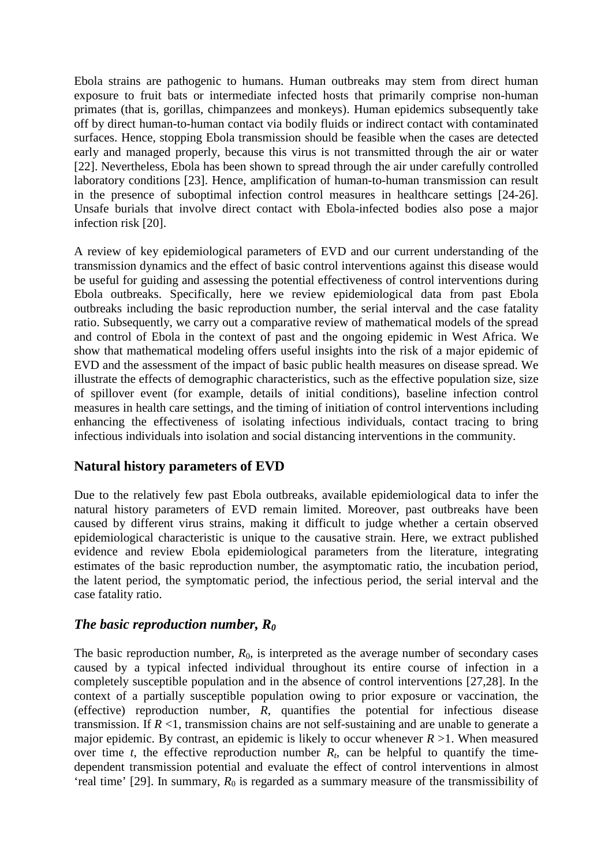Ebola strains are pathogenic to humans. Human outbreaks may stem from direct human exposure to fruit bats or intermediate infected hosts that primarily comprise non-human primates (that is, gorillas, chimpanzees and monkeys). Human epidemics subsequently take off by direct human-to-human contact via bodily fluids or indirect contact with contaminated surfaces. Hence, stopping Ebola transmission should be feasible when the cases are detected early and managed properly, because this virus is not transmitted through the air or water [22]. Nevertheless, Ebola has been shown to spread through the air under carefully controlled laboratory conditions [23]. Hence, amplification of human-to-human transmission can result in the presence of suboptimal infection control measures in healthcare settings [24-26]. Unsafe burials that involve direct contact with Ebola-infected bodies also pose a major infection risk [20].

A review of key epidemiological parameters of EVD and our current understanding of the transmission dynamics and the effect of basic control interventions against this disease would be useful for guiding and assessing the potential effectiveness of control interventions during Ebola outbreaks. Specifically, here we review epidemiological data from past Ebola outbreaks including the basic reproduction number, the serial interval and the case fatality ratio. Subsequently, we carry out a comparative review of mathematical models of the spread and control of Ebola in the context of past and the ongoing epidemic in West Africa. We show that mathematical modeling offers useful insights into the risk of a major epidemic of EVD and the assessment of the impact of basic public health measures on disease spread. We illustrate the effects of demographic characteristics, such as the effective population size, size of spillover event (for example, details of initial conditions), baseline infection control measures in health care settings, and the timing of initiation of control interventions including enhancing the effectiveness of isolating infectious individuals, contact tracing to bring infectious individuals into isolation and social distancing interventions in the community.

#### **Natural history parameters of EVD**

Due to the relatively few past Ebola outbreaks, available epidemiological data to infer the natural history parameters of EVD remain limited. Moreover, past outbreaks have been caused by different virus strains, making it difficult to judge whether a certain observed epidemiological characteristic is unique to the causative strain. Here, we extract published evidence and review Ebola epidemiological parameters from the literature, integrating estimates of the basic reproduction number, the asymptomatic ratio, the incubation period, the latent period, the symptomatic period, the infectious period, the serial interval and the case fatality ratio.

#### *The basic reproduction number, R<sup>0</sup>*

The basic reproduction number,  $R_0$ , is interpreted as the average number of secondary cases caused by a typical infected individual throughout its entire course of infection in a completely susceptible population and in the absence of control interventions [27,28]. In the context of a partially susceptible population owing to prior exposure or vaccination, the (effective) reproduction number, *R*, quantifies the potential for infectious disease transmission. If  $R$  <1, transmission chains are not self-sustaining and are unable to generate a major epidemic. By contrast, an epidemic is likely to occur whenever  $R > 1$ . When measured over time  $t$ , the effective reproduction number  $R_t$ , can be helpful to quantify the timedependent transmission potential and evaluate the effect of control interventions in almost 'real time' [29]. In summary,  $R_0$  is regarded as a summary measure of the transmissibility of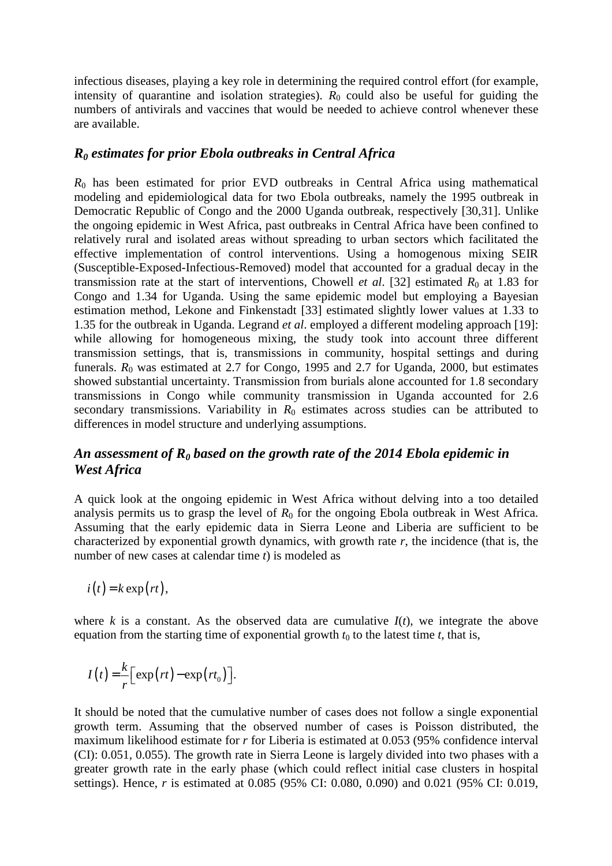infectious diseases, playing a key role in determining the required control effort (for example, intensity of quarantine and isolation strategies).  $R_0$  could also be useful for guiding the numbers of antivirals and vaccines that would be needed to achieve control whenever these are available.

#### *R0 estimates for prior Ebola outbreaks in Central Africa*

*R*0 has been estimated for prior EVD outbreaks in Central Africa using mathematical modeling and epidemiological data for two Ebola outbreaks, namely the 1995 outbreak in Democratic Republic of Congo and the 2000 Uganda outbreak, respectively [30,31]. Unlike the ongoing epidemic in West Africa, past outbreaks in Central Africa have been confined to relatively rural and isolated areas without spreading to urban sectors which facilitated the effective implementation of control interventions. Using a homogenous mixing SEIR (Susceptible-Exposed-Infectious-Removed) model that accounted for a gradual decay in the transmission rate at the start of interventions, Chowell *et al.* [32] estimated  $R_0$  at 1.83 for Congo and 1.34 for Uganda. Using the same epidemic model but employing a Bayesian estimation method, Lekone and Finkenstadt [33] estimated slightly lower values at 1.33 to 1.35 for the outbreak in Uganda. Legrand *et al*. employed a different modeling approach [19]: while allowing for homogeneous mixing, the study took into account three different transmission settings, that is, transmissions in community, hospital settings and during funerals.  $R_0$  was estimated at 2.7 for Congo, 1995 and 2.7 for Uganda, 2000, but estimates showed substantial uncertainty. Transmission from burials alone accounted for 1.8 secondary transmissions in Congo while community transmission in Uganda accounted for 2.6 secondary transmissions. Variability in  $R_0$  estimates across studies can be attributed to differences in model structure and underlying assumptions.

### *An assessment of R0 based on the growth rate of the 2014 Ebola epidemic in West Africa*

A quick look at the ongoing epidemic in West Africa without delving into a too detailed analysis permits us to grasp the level of  $R_0$  for the ongoing Ebola outbreak in West Africa. Assuming that the early epidemic data in Sierra Leone and Liberia are sufficient to be characterized by exponential growth dynamics, with growth rate  $r$ , the incidence (that is, the number of new cases at calendar time *t*) is modeled as

 $i(t) = k \exp(rt),$ 

where  $k$  is a constant. As the observed data are cumulative  $I(t)$ , we integrate the above equation from the starting time of exponential growth  $t_0$  to the latest time  $t$ , that is,

$$
I(t) = \frac{k}{r} \Big[ \exp\big(\, rt \big) - \exp\big(\, rt_0 \,\big) \Big].
$$

It should be noted that the cumulative number of cases does not follow a single exponential growth term. Assuming that the observed number of cases is Poisson distributed, the maximum likelihood estimate for *r* for Liberia is estimated at 0.053 (95% confidence interval (CI): 0.051, 0.055). The growth rate in Sierra Leone is largely divided into two phases with a greater growth rate in the early phase (which could reflect initial case clusters in hospital settings). Hence, *r* is estimated at 0.085 (95% CI: 0.080, 0.090) and 0.021 (95% CI: 0.019,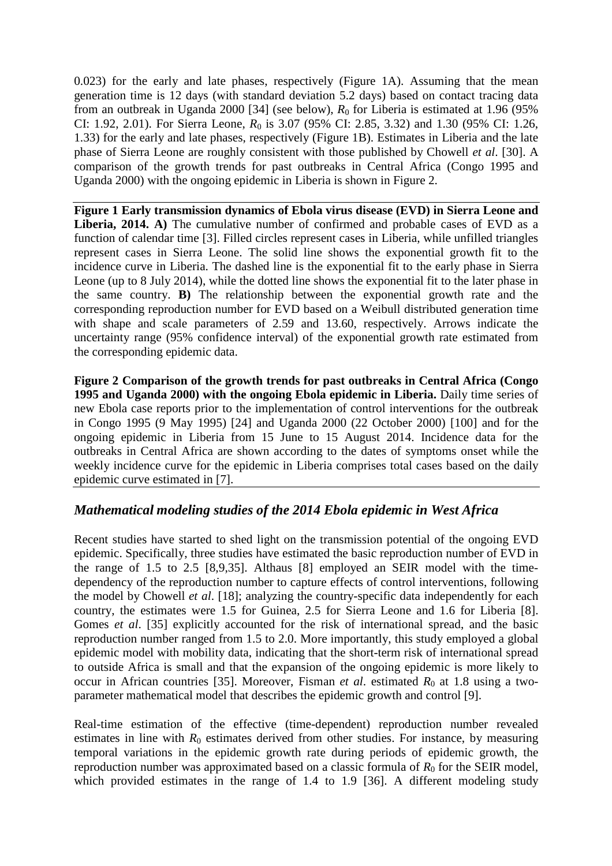0.023) for the early and late phases, respectively (Figure 1A). Assuming that the mean generation time is 12 days (with standard deviation 5.2 days) based on contact tracing data from an outbreak in Uganda 2000 [34] (see below),  $R_0$  for Liberia is estimated at 1.96 (95%) CI: 1.92, 2.01). For Sierra Leone, *R*0 is 3.07 (95% CI: 2.85, 3.32) and 1.30 (95% CI: 1.26, 1.33) for the early and late phases, respectively (Figure 1B). Estimates in Liberia and the late phase of Sierra Leone are roughly consistent with those published by Chowell *et al*. [30]. A comparison of the growth trends for past outbreaks in Central Africa (Congo 1995 and Uganda 2000) with the ongoing epidemic in Liberia is shown in Figure 2.

**Figure 1 Early transmission dynamics of Ebola virus disease (EVD) in Sierra Leone and Liberia, 2014. A)** The cumulative number of confirmed and probable cases of EVD as a function of calendar time [3]. Filled circles represent cases in Liberia, while unfilled triangles represent cases in Sierra Leone. The solid line shows the exponential growth fit to the incidence curve in Liberia. The dashed line is the exponential fit to the early phase in Sierra Leone (up to 8 July 2014), while the dotted line shows the exponential fit to the later phase in the same country. **B)** The relationship between the exponential growth rate and the corresponding reproduction number for EVD based on a Weibull distributed generation time with shape and scale parameters of 2.59 and 13.60, respectively. Arrows indicate the uncertainty range (95% confidence interval) of the exponential growth rate estimated from the corresponding epidemic data.

**Figure 2 Comparison of the growth trends for past outbreaks in Central Africa (Congo 1995 and Uganda 2000) with the ongoing Ebola epidemic in Liberia.** Daily time series of new Ebola case reports prior to the implementation of control interventions for the outbreak in Congo 1995 (9 May 1995) [24] and Uganda 2000 (22 October 2000) [100] and for the ongoing epidemic in Liberia from 15 June to 15 August 2014. Incidence data for the outbreaks in Central Africa are shown according to the dates of symptoms onset while the weekly incidence curve for the epidemic in Liberia comprises total cases based on the daily epidemic curve estimated in [7].

### *Mathematical modeling studies of the 2014 Ebola epidemic in West Africa*

Recent studies have started to shed light on the transmission potential of the ongoing EVD epidemic. Specifically, three studies have estimated the basic reproduction number of EVD in the range of 1.5 to 2.5 [8,9,35]. Althaus [8] employed an SEIR model with the timedependency of the reproduction number to capture effects of control interventions, following the model by Chowell *et al*. [18]; analyzing the country-specific data independently for each country, the estimates were 1.5 for Guinea, 2.5 for Sierra Leone and 1.6 for Liberia [8]. Gomes *et al*. [35] explicitly accounted for the risk of international spread, and the basic reproduction number ranged from 1.5 to 2.0. More importantly, this study employed a global epidemic model with mobility data, indicating that the short-term risk of international spread to outside Africa is small and that the expansion of the ongoing epidemic is more likely to occur in African countries [35]. Moreover, Fisman *et al.* estimated  $R_0$  at 1.8 using a twoparameter mathematical model that describes the epidemic growth and control [9].

Real-time estimation of the effective (time-dependent) reproduction number revealed estimates in line with  $R_0$  estimates derived from other studies. For instance, by measuring temporal variations in the epidemic growth rate during periods of epidemic growth, the reproduction number was approximated based on a classic formula of  $R_0$  for the SEIR model, which provided estimates in the range of 1.4 to 1.9 [36]. A different modeling study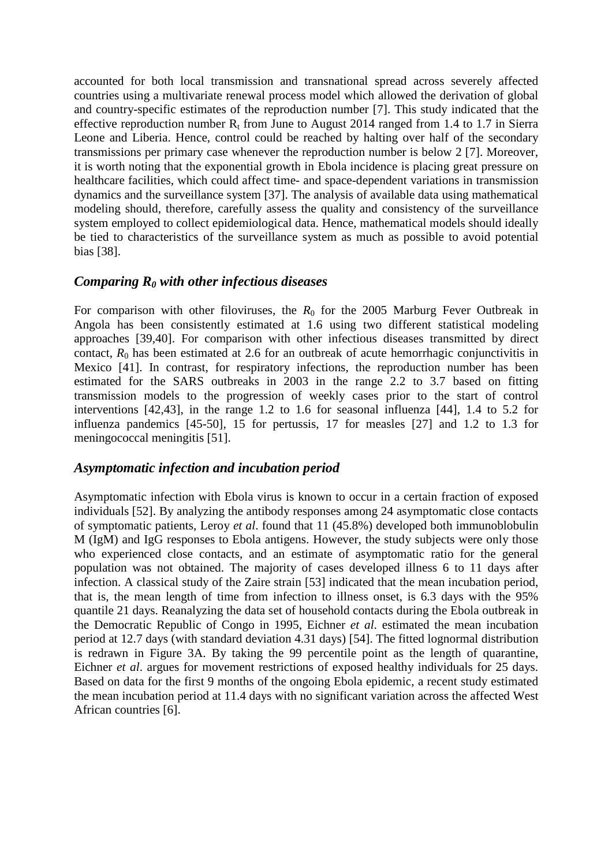accounted for both local transmission and transnational spread across severely affected countries using a multivariate renewal process model which allowed the derivation of global and country-specific estimates of the reproduction number [7]. This study indicated that the effective reproduction number  $R_t$  from June to August 2014 ranged from 1.4 to 1.7 in Sierra Leone and Liberia. Hence, control could be reached by halting over half of the secondary transmissions per primary case whenever the reproduction number is below 2 [7]. Moreover, it is worth noting that the exponential growth in Ebola incidence is placing great pressure on healthcare facilities, which could affect time- and space-dependent variations in transmission dynamics and the surveillance system [37]. The analysis of available data using mathematical modeling should, therefore, carefully assess the quality and consistency of the surveillance system employed to collect epidemiological data. Hence, mathematical models should ideally be tied to characteristics of the surveillance system as much as possible to avoid potential bias [38].

#### *Comparing R0 with other infectious diseases*

For comparison with other filoviruses, the  $R_0$  for the 2005 Marburg Fever Outbreak in Angola has been consistently estimated at 1.6 using two different statistical modeling approaches [39,40]. For comparison with other infectious diseases transmitted by direct contact,  $R_0$  has been estimated at 2.6 for an outbreak of acute hemorrhagic conjunctivitis in Mexico [41]. In contrast, for respiratory infections, the reproduction number has been estimated for the SARS outbreaks in 2003 in the range 2.2 to 3.7 based on fitting transmission models to the progression of weekly cases prior to the start of control interventions [42,43], in the range 1.2 to 1.6 for seasonal influenza [44], 1.4 to 5.2 for influenza pandemics [45-50], 15 for pertussis, 17 for measles [27] and 1.2 to 1.3 for meningococcal meningitis [51].

#### *Asymptomatic infection and incubation period*

Asymptomatic infection with Ebola virus is known to occur in a certain fraction of exposed individuals [52]. By analyzing the antibody responses among 24 asymptomatic close contacts of symptomatic patients, Leroy *et al*. found that 11 (45.8%) developed both immunoblobulin M (IgM) and IgG responses to Ebola antigens. However, the study subjects were only those who experienced close contacts, and an estimate of asymptomatic ratio for the general population was not obtained. The majority of cases developed illness 6 to 11 days after infection. A classical study of the Zaire strain [53] indicated that the mean incubation period, that is, the mean length of time from infection to illness onset, is 6.3 days with the 95% quantile 21 days. Reanalyzing the data set of household contacts during the Ebola outbreak in the Democratic Republic of Congo in 1995, Eichner *et al*. estimated the mean incubation period at 12.7 days (with standard deviation 4.31 days) [54]. The fitted lognormal distribution is redrawn in Figure 3A. By taking the 99 percentile point as the length of quarantine, Eichner *et al*. argues for movement restrictions of exposed healthy individuals for 25 days. Based on data for the first 9 months of the ongoing Ebola epidemic, a recent study estimated the mean incubation period at 11.4 days with no significant variation across the affected West African countries [6].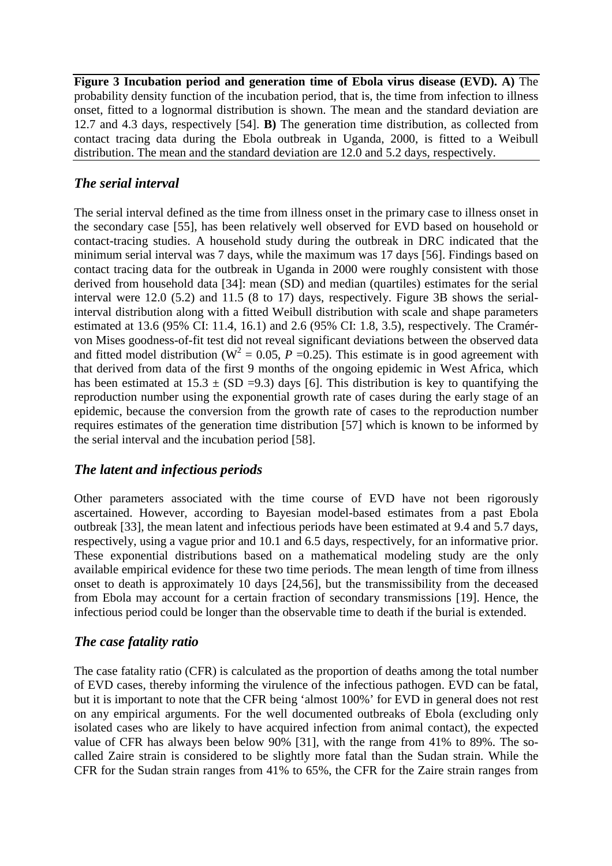**Figure 3 Incubation period and generation time of Ebola virus disease (EVD). A)** The probability density function of the incubation period, that is, the time from infection to illness onset, fitted to a lognormal distribution is shown. The mean and the standard deviation are 12.7 and 4.3 days, respectively [54]. **B)** The generation time distribution, as collected from contact tracing data during the Ebola outbreak in Uganda, 2000, is fitted to a Weibull distribution. The mean and the standard deviation are 12.0 and 5.2 days, respectively.

### *The serial interval*

The serial interval defined as the time from illness onset in the primary case to illness onset in the secondary case [55], has been relatively well observed for EVD based on household or contact-tracing studies. A household study during the outbreak in DRC indicated that the minimum serial interval was 7 days, while the maximum was 17 days [56]. Findings based on contact tracing data for the outbreak in Uganda in 2000 were roughly consistent with those derived from household data [34]: mean (SD) and median (quartiles) estimates for the serial interval were 12.0 (5.2) and 11.5 (8 to 17) days, respectively. Figure 3B shows the serialinterval distribution along with a fitted Weibull distribution with scale and shape parameters estimated at 13.6 (95% CI: 11.4, 16.1) and 2.6 (95% CI: 1.8, 3.5), respectively. The Cramérvon Mises goodness-of-fit test did not reveal significant deviations between the observed data and fitted model distribution ( $W^2 = 0.05$ ,  $P = 0.25$ ). This estimate is in good agreement with that derived from data of the first 9 months of the ongoing epidemic in West Africa, which has been estimated at  $15.3 \pm (SD = 9.3)$  days [6]. This distribution is key to quantifying the reproduction number using the exponential growth rate of cases during the early stage of an epidemic, because the conversion from the growth rate of cases to the reproduction number requires estimates of the generation time distribution [57] which is known to be informed by the serial interval and the incubation period [58].

## *The latent and infectious periods*

Other parameters associated with the time course of EVD have not been rigorously ascertained. However, according to Bayesian model-based estimates from a past Ebola outbreak [33], the mean latent and infectious periods have been estimated at 9.4 and 5.7 days, respectively, using a vague prior and 10.1 and 6.5 days, respectively, for an informative prior. These exponential distributions based on a mathematical modeling study are the only available empirical evidence for these two time periods. The mean length of time from illness onset to death is approximately 10 days [24,56], but the transmissibility from the deceased from Ebola may account for a certain fraction of secondary transmissions [19]. Hence, the infectious period could be longer than the observable time to death if the burial is extended.

### *The case fatality ratio*

The case fatality ratio (CFR) is calculated as the proportion of deaths among the total number of EVD cases, thereby informing the virulence of the infectious pathogen. EVD can be fatal, but it is important to note that the CFR being 'almost 100%' for EVD in general does not rest on any empirical arguments. For the well documented outbreaks of Ebola (excluding only isolated cases who are likely to have acquired infection from animal contact), the expected value of CFR has always been below 90% [31], with the range from 41% to 89%. The socalled Zaire strain is considered to be slightly more fatal than the Sudan strain. While the CFR for the Sudan strain ranges from 41% to 65%, the CFR for the Zaire strain ranges from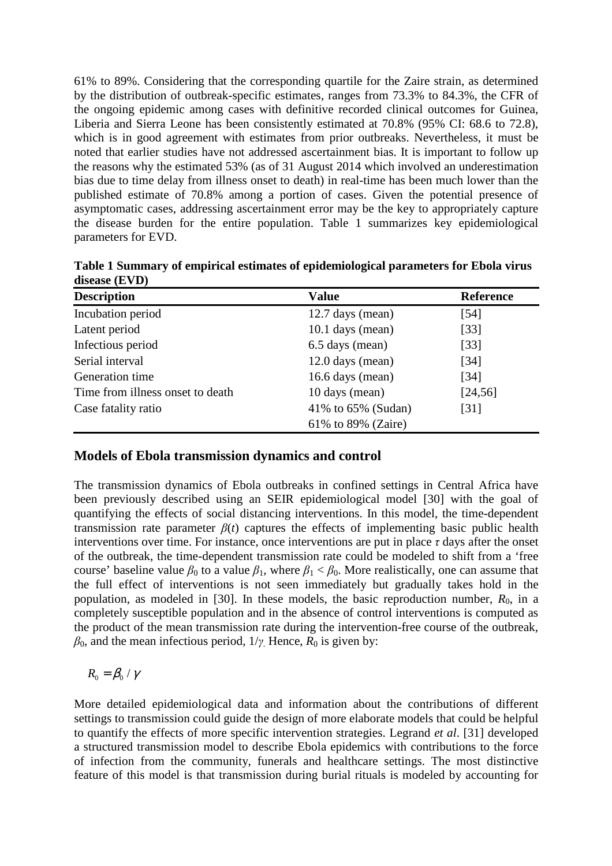61% to 89%. Considering that the corresponding quartile for the Zaire strain, as determined by the distribution of outbreak-specific estimates, ranges from 73.3% to 84.3%, the CFR of the ongoing epidemic among cases with definitive recorded clinical outcomes for Guinea, Liberia and Sierra Leone has been consistently estimated at 70.8% (95% CI: 68.6 to 72.8), which is in good agreement with estimates from prior outbreaks. Nevertheless, it must be noted that earlier studies have not addressed ascertainment bias. It is important to follow up the reasons why the estimated 53% (as of 31 August 2014 which involved an underestimation bias due to time delay from illness onset to death) in real-time has been much lower than the published estimate of 70.8% among a portion of cases. Given the potential presence of asymptomatic cases, addressing ascertainment error may be the key to appropriately capture the disease burden for the entire population. Table 1 summarizes key epidemiological parameters for EVD.

| Table 1 Summary of empirical estimates of epidemiological parameters for Ebola virus |  |
|--------------------------------------------------------------------------------------|--|
| disease (EVD)                                                                        |  |

| <b>Description</b>               | <b>Value</b>       | <b>Reference</b> |
|----------------------------------|--------------------|------------------|
| Incubation period                | 12.7 days (mean)   | [54]             |
| Latent period                    | 10.1 days (mean)   | $[33]$           |
| Infectious period                | 6.5 days (mean)    | $[33]$           |
| Serial interval                  | 12.0 days (mean)   | [34]             |
| Generation time                  | 16.6 days (mean)   | [34]             |
| Time from illness onset to death | 10 days (mean)     | [24, 56]         |
| Case fatality ratio              | 41% to 65% (Sudan) | [31]             |
|                                  | 61% to 89% (Zaire) |                  |

#### **Models of Ebola transmission dynamics and control**

The transmission dynamics of Ebola outbreaks in confined settings in Central Africa have been previously described using an SEIR epidemiological model [30] with the goal of quantifying the effects of social distancing interventions. In this model, the time-dependent transmission rate parameter  $\beta(t)$  captures the effects of implementing basic public health interventions over time. For instance, once interventions are put in place  $\tau$  days after the onset of the outbreak, the time-dependent transmission rate could be modeled to shift from a 'free course' baseline value  $\beta_0$  to a value  $\beta_1$ , where  $\beta_1 < \beta_0$ . More realistically, one can assume that the full effect of interventions is not seen immediately but gradually takes hold in the population, as modeled in [30]. In these models, the basic reproduction number,  $R_0$ , in a completely susceptible population and in the absence of control interventions is computed as the product of the mean transmission rate during the intervention-free course of the outbreak,  $\beta_0$ , and the mean infectious period,  $1/\gamma$ . Hence,  $R_0$  is given by:

$$
R_{0}=\beta_{0}/\gamma
$$

More detailed epidemiological data and information about the contributions of different settings to transmission could guide the design of more elaborate models that could be helpful to quantify the effects of more specific intervention strategies. Legrand *et al*. [31] developed a structured transmission model to describe Ebola epidemics with contributions to the force of infection from the community, funerals and healthcare settings. The most distinctive feature of this model is that transmission during burial rituals is modeled by accounting for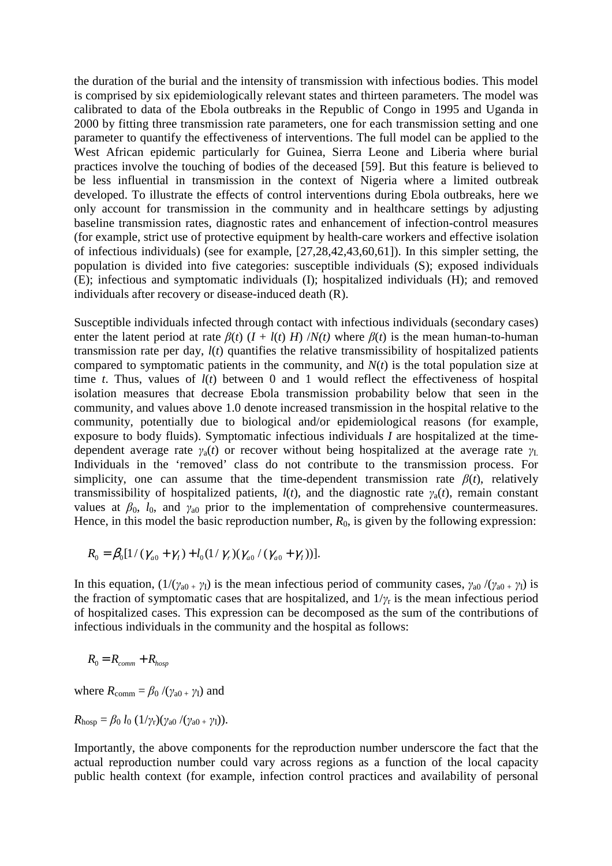the duration of the burial and the intensity of transmission with infectious bodies. This model is comprised by six epidemiologically relevant states and thirteen parameters. The model was calibrated to data of the Ebola outbreaks in the Republic of Congo in 1995 and Uganda in 2000 by fitting three transmission rate parameters, one for each transmission setting and one parameter to quantify the effectiveness of interventions. The full model can be applied to the West African epidemic particularly for Guinea, Sierra Leone and Liberia where burial practices involve the touching of bodies of the deceased [59]. But this feature is believed to be less influential in transmission in the context of Nigeria where a limited outbreak developed. To illustrate the effects of control interventions during Ebola outbreaks, here we only account for transmission in the community and in healthcare settings by adjusting baseline transmission rates, diagnostic rates and enhancement of infection-control measures (for example, strict use of protective equipment by health-care workers and effective isolation of infectious individuals) (see for example, [27,28,42,43,60,61]). In this simpler setting, the population is divided into five categories: susceptible individuals (S); exposed individuals (E); infectious and symptomatic individuals (I); hospitalized individuals (H); and removed individuals after recovery or disease-induced death (R).

Susceptible individuals infected through contact with infectious individuals (secondary cases) enter the latent period at rate  $\beta(t)$  ( $I + l(t)$  *H*) /*N*(*t*) where  $\beta(t)$  is the mean human-to-human transmission rate per day, *l*(*t*) quantifies the relative transmissibility of hospitalized patients compared to symptomatic patients in the community, and *N*(*t*) is the total population size at time *t*. Thus, values of *l*(*t*) between 0 and 1 would reflect the effectiveness of hospital isolation measures that decrease Ebola transmission probability below that seen in the community, and values above 1.0 denote increased transmission in the hospital relative to the community, potentially due to biological and/or epidemiological reasons (for example, exposure to body fluids). Symptomatic infectious individuals *I* are hospitalized at the timedependent average rate  $\gamma_a(t)$  or recover without being hospitalized at the average rate  $\gamma_1$ . Individuals in the 'removed' class do not contribute to the transmission process. For simplicity, one can assume that the time-dependent transmission rate  $\beta(t)$ , relatively transmissibility of hospitalized patients,  $l(t)$ , and the diagnostic rate  $\gamma_a(t)$ , remain constant values at  $\beta_0$ ,  $l_0$ , and  $\gamma_{a0}$  prior to the implementation of comprehensive countermeasures. Hence, in this model the basic reproduction number,  $R_0$ , is given by the following expression:

$$
R_0 = \beta_0 [1/(\gamma_{a0} + \gamma_I) + l_0 (1/\gamma_r) (\gamma_{a0}/(\gamma_{a0} + \gamma_I))].
$$

In this equation,  $(1/(\gamma_{a0} + \gamma_1))$  is the mean infectious period of community cases,  $\gamma_{a0}/(\gamma_{a0} + \gamma_1)$  is the fraction of symptomatic cases that are hospitalized, and  $1/\gamma_r$  is the mean infectious period of hospitalized cases. This expression can be decomposed as the sum of the contributions of infectious individuals in the community and the hospital as follows:

$$
R_{0} = R_{comm} + R_{hosp}
$$

where  $R_{\text{comm}} = \beta_0 / (\gamma_{a0} + \gamma_I)$  and

$$
R_{\rm hosp} = \beta_0 \; l_0 \; (1/\gamma_{\rm r}) (\gamma_{\rm a0} / (\gamma_{\rm a0+} \gamma_{\rm I})).
$$

Importantly, the above components for the reproduction number underscore the fact that the actual reproduction number could vary across regions as a function of the local capacity public health context (for example, infection control practices and availability of personal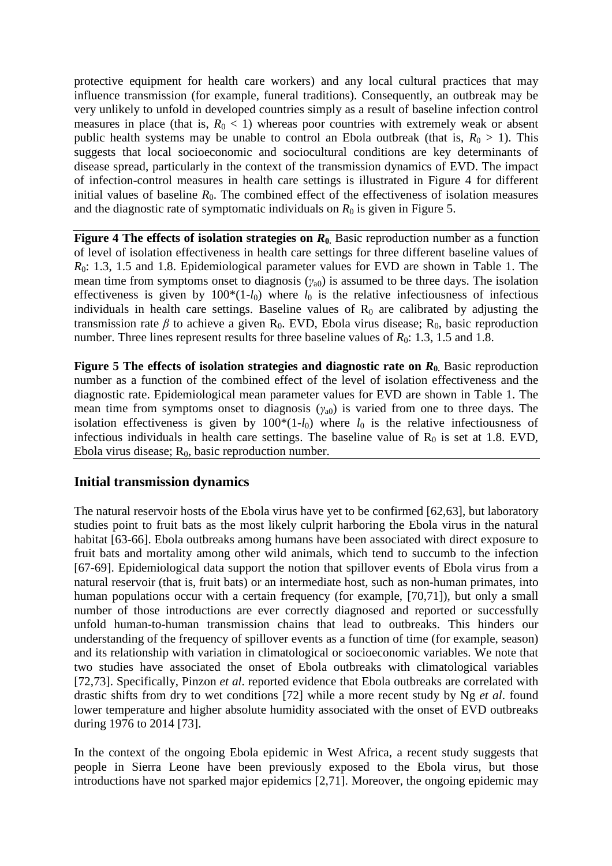protective equipment for health care workers) and any local cultural practices that may influence transmission (for example, funeral traditions). Consequently, an outbreak may be very unlikely to unfold in developed countries simply as a result of baseline infection control measures in place (that is,  $R_0 < 1$ ) whereas poor countries with extremely weak or absent public health systems may be unable to control an Ebola outbreak (that is,  $R_0 > 1$ ). This suggests that local socioeconomic and sociocultural conditions are key determinants of disease spread, particularly in the context of the transmission dynamics of EVD. The impact of infection-control measures in health care settings is illustrated in Figure 4 for different initial values of baseline  $R_0$ . The combined effect of the effectiveness of isolation measures and the diagnostic rate of symptomatic individuals on  $R_0$  is given in Figure 5.

**Figure 4** The effects of isolation strategies on  $R_0$ . Basic reproduction number as a function of level of isolation effectiveness in health care settings for three different baseline values of *R*0: 1.3, 1.5 and 1.8. Epidemiological parameter values for EVD are shown in Table 1. The mean time from symptoms onset to diagnosis  $(\gamma_{a0})$  is assumed to be three days. The isolation effectiveness is given by  $100*(1-l_0)$  where  $l_0$  is the relative infectiousness of infectious individuals in health care settings. Baseline values of  $R_0$  are calibrated by adjusting the transmission rate  $\beta$  to achieve a given R<sub>0</sub>. EVD, Ebola virus disease; R<sub>0</sub>, basic reproduction number. Three lines represent results for three baseline values of  $R_0$ : 1.3, 1.5 and 1.8.

**Figure 5** The effects of isolation strategies and diagnostic rate on  $R_0$ . Basic reproduction number as a function of the combined effect of the level of isolation effectiveness and the diagnostic rate. Epidemiological mean parameter values for EVD are shown in Table 1. The mean time from symptoms onset to diagnosis  $(y_{a0})$  is varied from one to three days. The isolation effectiveness is given by  $100*(1-l_0)$  where  $l_0$  is the relative infectiousness of infectious individuals in health care settings. The baseline value of  $R_0$  is set at 1.8. EVD, Ebola virus disease;  $R_0$ , basic reproduction number.

### **Initial transmission dynamics**

The natural reservoir hosts of the Ebola virus have yet to be confirmed [62,63], but laboratory studies point to fruit bats as the most likely culprit harboring the Ebola virus in the natural habitat [63-66]. Ebola outbreaks among humans have been associated with direct exposure to fruit bats and mortality among other wild animals, which tend to succumb to the infection [67-69]. Epidemiological data support the notion that spillover events of Ebola virus from a natural reservoir (that is, fruit bats) or an intermediate host, such as non-human primates, into human populations occur with a certain frequency (for example, [70,71]), but only a small number of those introductions are ever correctly diagnosed and reported or successfully unfold human-to-human transmission chains that lead to outbreaks. This hinders our understanding of the frequency of spillover events as a function of time (for example, season) and its relationship with variation in climatological or socioeconomic variables. We note that two studies have associated the onset of Ebola outbreaks with climatological variables [72,73]. Specifically, Pinzon *et al*. reported evidence that Ebola outbreaks are correlated with drastic shifts from dry to wet conditions [72] while a more recent study by Ng *et al*. found lower temperature and higher absolute humidity associated with the onset of EVD outbreaks during 1976 to 2014 [73].

In the context of the ongoing Ebola epidemic in West Africa, a recent study suggests that people in Sierra Leone have been previously exposed to the Ebola virus, but those introductions have not sparked major epidemics [2,71]. Moreover, the ongoing epidemic may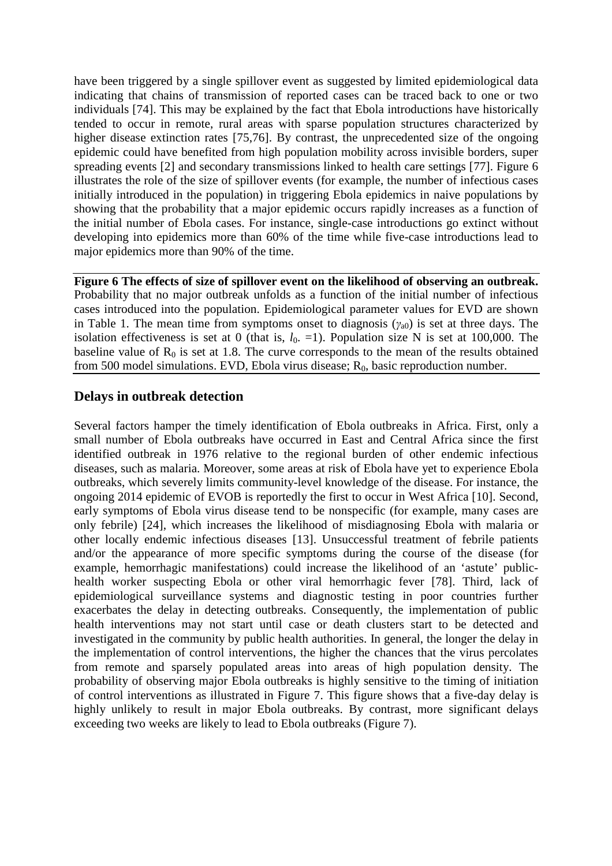have been triggered by a single spillover event as suggested by limited epidemiological data indicating that chains of transmission of reported cases can be traced back to one or two individuals [74]. This may be explained by the fact that Ebola introductions have historically tended to occur in remote, rural areas with sparse population structures characterized by higher disease extinction rates [75,76]. By contrast, the unprecedented size of the ongoing epidemic could have benefited from high population mobility across invisible borders, super spreading events [2] and secondary transmissions linked to health care settings [77]. Figure 6 illustrates the role of the size of spillover events (for example, the number of infectious cases initially introduced in the population) in triggering Ebola epidemics in naive populations by showing that the probability that a major epidemic occurs rapidly increases as a function of the initial number of Ebola cases. For instance, single-case introductions go extinct without developing into epidemics more than 60% of the time while five-case introductions lead to major epidemics more than 90% of the time.

**Figure 6 The effects of size of spillover event on the likelihood of observing an outbreak.** Probability that no major outbreak unfolds as a function of the initial number of infectious cases introduced into the population. Epidemiological parameter values for EVD are shown in Table 1. The mean time from symptoms onset to diagnosis  $(\gamma_{a0})$  is set at three days. The isolation effectiveness is set at 0 (that is,  $l_0$ . =1). Population size N is set at 100,000. The baseline value of  $R_0$  is set at 1.8. The curve corresponds to the mean of the results obtained from 500 model simulations. EVD, Ebola virus disease;  $R_0$ , basic reproduction number.

### **Delays in outbreak detection**

Several factors hamper the timely identification of Ebola outbreaks in Africa. First, only a small number of Ebola outbreaks have occurred in East and Central Africa since the first identified outbreak in 1976 relative to the regional burden of other endemic infectious diseases, such as malaria. Moreover, some areas at risk of Ebola have yet to experience Ebola outbreaks, which severely limits community-level knowledge of the disease. For instance, the ongoing 2014 epidemic of EVOB is reportedly the first to occur in West Africa [10]. Second, early symptoms of Ebola virus disease tend to be nonspecific (for example, many cases are only febrile) [24], which increases the likelihood of misdiagnosing Ebola with malaria or other locally endemic infectious diseases [13]. Unsuccessful treatment of febrile patients and/or the appearance of more specific symptoms during the course of the disease (for example, hemorrhagic manifestations) could increase the likelihood of an 'astute' publichealth worker suspecting Ebola or other viral hemorrhagic fever [78]. Third, lack of epidemiological surveillance systems and diagnostic testing in poor countries further exacerbates the delay in detecting outbreaks. Consequently, the implementation of public health interventions may not start until case or death clusters start to be detected and investigated in the community by public health authorities. In general, the longer the delay in the implementation of control interventions, the higher the chances that the virus percolates from remote and sparsely populated areas into areas of high population density. The probability of observing major Ebola outbreaks is highly sensitive to the timing of initiation of control interventions as illustrated in Figure 7. This figure shows that a five-day delay is highly unlikely to result in major Ebola outbreaks. By contrast, more significant delays exceeding two weeks are likely to lead to Ebola outbreaks (Figure 7).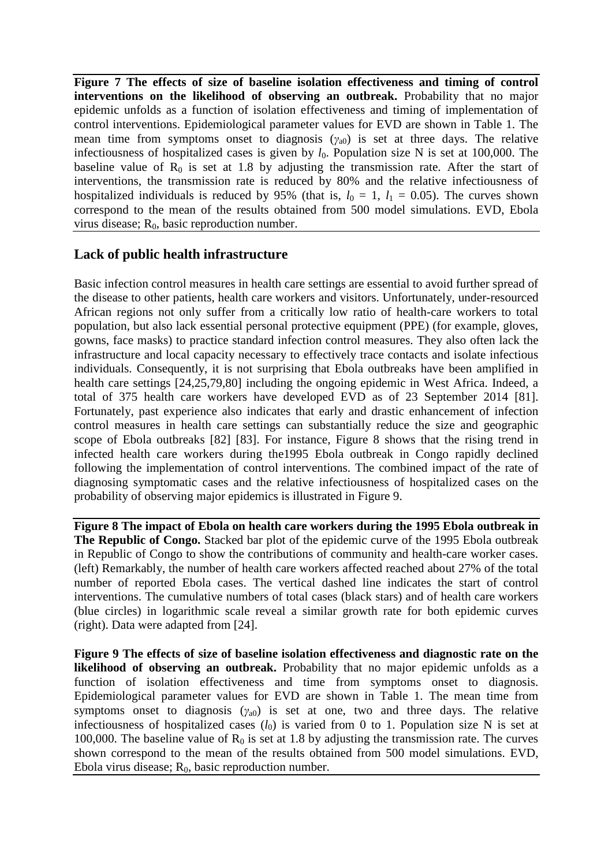**Figure 7 The effects of size of baseline isolation effectiveness and timing of control interventions on the likelihood of observing an outbreak.** Probability that no major epidemic unfolds as a function of isolation effectiveness and timing of implementation of control interventions. Epidemiological parameter values for EVD are shown in Table 1. The mean time from symptoms onset to diagnosis  $(\gamma_{a0})$  is set at three days. The relative infectiousness of hospitalized cases is given by  $l_0$ . Population size N is set at 100,000. The baseline value of  $R_0$  is set at 1.8 by adjusting the transmission rate. After the start of interventions, the transmission rate is reduced by 80% and the relative infectiousness of hospitalized individuals is reduced by 95% (that is,  $l_0 = 1$ ,  $l_1 = 0.05$ ). The curves shown correspond to the mean of the results obtained from 500 model simulations. EVD, Ebola virus disease;  $R_0$ , basic reproduction number.

### **Lack of public health infrastructure**

Basic infection control measures in health care settings are essential to avoid further spread of the disease to other patients, health care workers and visitors. Unfortunately, under-resourced African regions not only suffer from a critically low ratio of health-care workers to total population, but also lack essential personal protective equipment (PPE) (for example, gloves, gowns, face masks) to practice standard infection control measures. They also often lack the infrastructure and local capacity necessary to effectively trace contacts and isolate infectious individuals. Consequently, it is not surprising that Ebola outbreaks have been amplified in health care settings [24,25,79,80] including the ongoing epidemic in West Africa. Indeed, a total of 375 health care workers have developed EVD as of 23 September 2014 [81]. Fortunately, past experience also indicates that early and drastic enhancement of infection control measures in health care settings can substantially reduce the size and geographic scope of Ebola outbreaks [82] [83]. For instance, Figure 8 shows that the rising trend in infected health care workers during the1995 Ebola outbreak in Congo rapidly declined following the implementation of control interventions. The combined impact of the rate of diagnosing symptomatic cases and the relative infectiousness of hospitalized cases on the probability of observing major epidemics is illustrated in Figure 9.

**Figure 8 The impact of Ebola on health care workers during the 1995 Ebola outbreak in The Republic of Congo.** Stacked bar plot of the epidemic curve of the 1995 Ebola outbreak in Republic of Congo to show the contributions of community and health-care worker cases. (left) Remarkably, the number of health care workers affected reached about 27% of the total number of reported Ebola cases. The vertical dashed line indicates the start of control interventions. The cumulative numbers of total cases (black stars) and of health care workers (blue circles) in logarithmic scale reveal a similar growth rate for both epidemic curves (right). Data were adapted from [24].

**Figure 9 The effects of size of baseline isolation effectiveness and diagnostic rate on the likelihood of observing an outbreak.** Probability that no major epidemic unfolds as a function of isolation effectiveness and time from symptoms onset to diagnosis. Epidemiological parameter values for EVD are shown in Table 1. The mean time from symptoms onset to diagnosis  $(y_{a0})$  is set at one, two and three days. The relative infectiousness of hospitalized cases  $(l_0)$  is varied from 0 to 1. Population size N is set at 100,000. The baseline value of  $R_0$  is set at 1.8 by adjusting the transmission rate. The curves shown correspond to the mean of the results obtained from 500 model simulations. EVD, Ebola virus disease;  $R_0$ , basic reproduction number.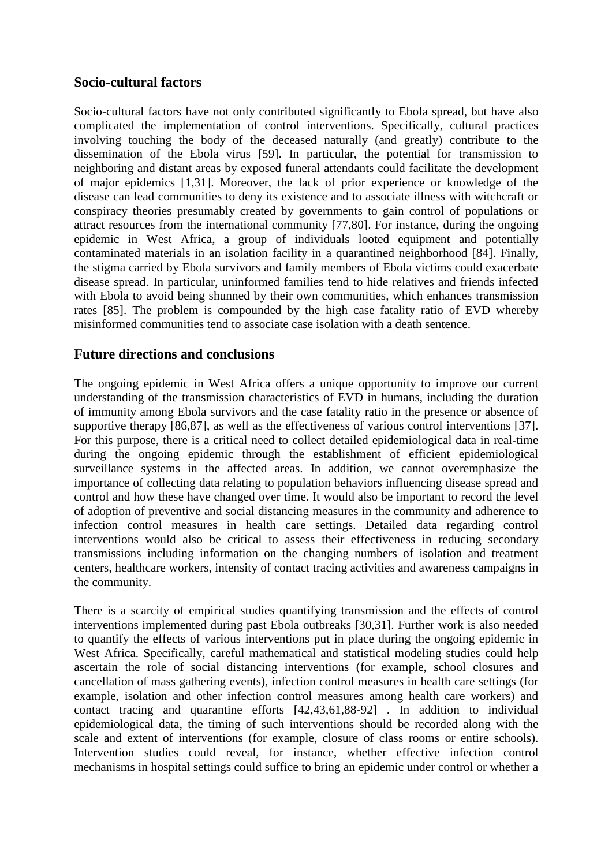#### **Socio-cultural factors**

Socio-cultural factors have not only contributed significantly to Ebola spread, but have also complicated the implementation of control interventions. Specifically, cultural practices involving touching the body of the deceased naturally (and greatly) contribute to the dissemination of the Ebola virus [59]. In particular, the potential for transmission to neighboring and distant areas by exposed funeral attendants could facilitate the development of major epidemics [1,31]. Moreover, the lack of prior experience or knowledge of the disease can lead communities to deny its existence and to associate illness with witchcraft or conspiracy theories presumably created by governments to gain control of populations or attract resources from the international community [77,80]. For instance, during the ongoing epidemic in West Africa, a group of individuals looted equipment and potentially contaminated materials in an isolation facility in a quarantined neighborhood [84]. Finally, the stigma carried by Ebola survivors and family members of Ebola victims could exacerbate disease spread. In particular, uninformed families tend to hide relatives and friends infected with Ebola to avoid being shunned by their own communities, which enhances transmission rates [85]. The problem is compounded by the high case fatality ratio of EVD whereby misinformed communities tend to associate case isolation with a death sentence.

#### **Future directions and conclusions**

The ongoing epidemic in West Africa offers a unique opportunity to improve our current understanding of the transmission characteristics of EVD in humans, including the duration of immunity among Ebola survivors and the case fatality ratio in the presence or absence of supportive therapy [86,87], as well as the effectiveness of various control interventions [37]. For this purpose, there is a critical need to collect detailed epidemiological data in real-time during the ongoing epidemic through the establishment of efficient epidemiological surveillance systems in the affected areas. In addition, we cannot overemphasize the importance of collecting data relating to population behaviors influencing disease spread and control and how these have changed over time. It would also be important to record the level of adoption of preventive and social distancing measures in the community and adherence to infection control measures in health care settings. Detailed data regarding control interventions would also be critical to assess their effectiveness in reducing secondary transmissions including information on the changing numbers of isolation and treatment centers, healthcare workers, intensity of contact tracing activities and awareness campaigns in the community.

There is a scarcity of empirical studies quantifying transmission and the effects of control interventions implemented during past Ebola outbreaks [30,31]. Further work is also needed to quantify the effects of various interventions put in place during the ongoing epidemic in West Africa. Specifically, careful mathematical and statistical modeling studies could help ascertain the role of social distancing interventions (for example, school closures and cancellation of mass gathering events), infection control measures in health care settings (for example, isolation and other infection control measures among health care workers) and contact tracing and quarantine efforts [42,43,61,88-92] . In addition to individual epidemiological data, the timing of such interventions should be recorded along with the scale and extent of interventions (for example, closure of class rooms or entire schools). Intervention studies could reveal, for instance, whether effective infection control mechanisms in hospital settings could suffice to bring an epidemic under control or whether a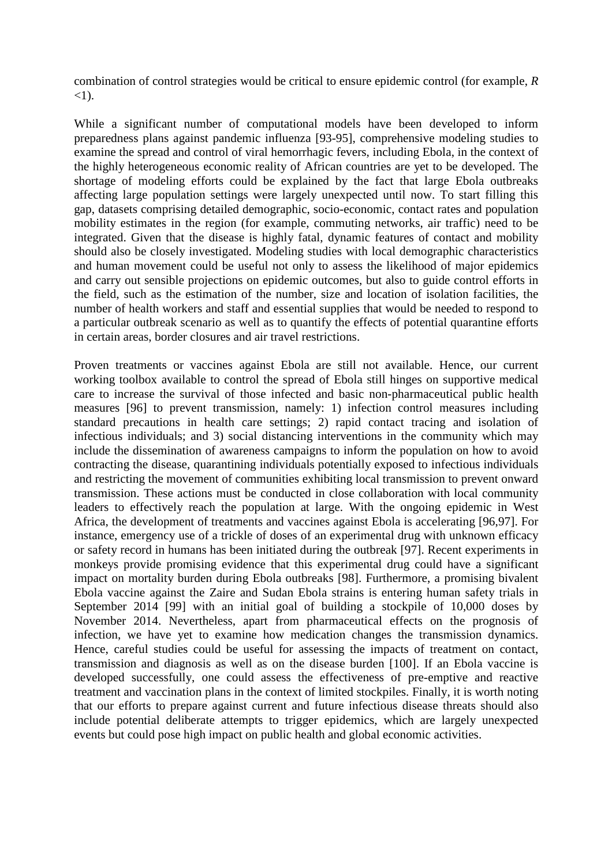combination of control strategies would be critical to ensure epidemic control (for example, *R*  $<$ 1).

While a significant number of computational models have been developed to inform preparedness plans against pandemic influenza [93-95], comprehensive modeling studies to examine the spread and control of viral hemorrhagic fevers, including Ebola, in the context of the highly heterogeneous economic reality of African countries are yet to be developed. The shortage of modeling efforts could be explained by the fact that large Ebola outbreaks affecting large population settings were largely unexpected until now. To start filling this gap, datasets comprising detailed demographic, socio-economic, contact rates and population mobility estimates in the region (for example, commuting networks, air traffic) need to be integrated. Given that the disease is highly fatal, dynamic features of contact and mobility should also be closely investigated. Modeling studies with local demographic characteristics and human movement could be useful not only to assess the likelihood of major epidemics and carry out sensible projections on epidemic outcomes, but also to guide control efforts in the field, such as the estimation of the number, size and location of isolation facilities, the number of health workers and staff and essential supplies that would be needed to respond to a particular outbreak scenario as well as to quantify the effects of potential quarantine efforts in certain areas, border closures and air travel restrictions.

Proven treatments or vaccines against Ebola are still not available. Hence, our current working toolbox available to control the spread of Ebola still hinges on supportive medical care to increase the survival of those infected and basic non-pharmaceutical public health measures [96] to prevent transmission, namely: 1) infection control measures including standard precautions in health care settings; 2) rapid contact tracing and isolation of infectious individuals; and 3) social distancing interventions in the community which may include the dissemination of awareness campaigns to inform the population on how to avoid contracting the disease, quarantining individuals potentially exposed to infectious individuals and restricting the movement of communities exhibiting local transmission to prevent onward transmission. These actions must be conducted in close collaboration with local community leaders to effectively reach the population at large. With the ongoing epidemic in West Africa, the development of treatments and vaccines against Ebola is accelerating [96,97]. For instance, emergency use of a trickle of doses of an experimental drug with unknown efficacy or safety record in humans has been initiated during the outbreak [97]. Recent experiments in monkeys provide promising evidence that this experimental drug could have a significant impact on mortality burden during Ebola outbreaks [98]. Furthermore, a promising bivalent Ebola vaccine against the Zaire and Sudan Ebola strains is entering human safety trials in September 2014 [99] with an initial goal of building a stockpile of 10,000 doses by November 2014. Nevertheless, apart from pharmaceutical effects on the prognosis of infection, we have yet to examine how medication changes the transmission dynamics. Hence, careful studies could be useful for assessing the impacts of treatment on contact, transmission and diagnosis as well as on the disease burden [100]. If an Ebola vaccine is developed successfully, one could assess the effectiveness of pre-emptive and reactive treatment and vaccination plans in the context of limited stockpiles. Finally, it is worth noting that our efforts to prepare against current and future infectious disease threats should also include potential deliberate attempts to trigger epidemics, which are largely unexpected events but could pose high impact on public health and global economic activities.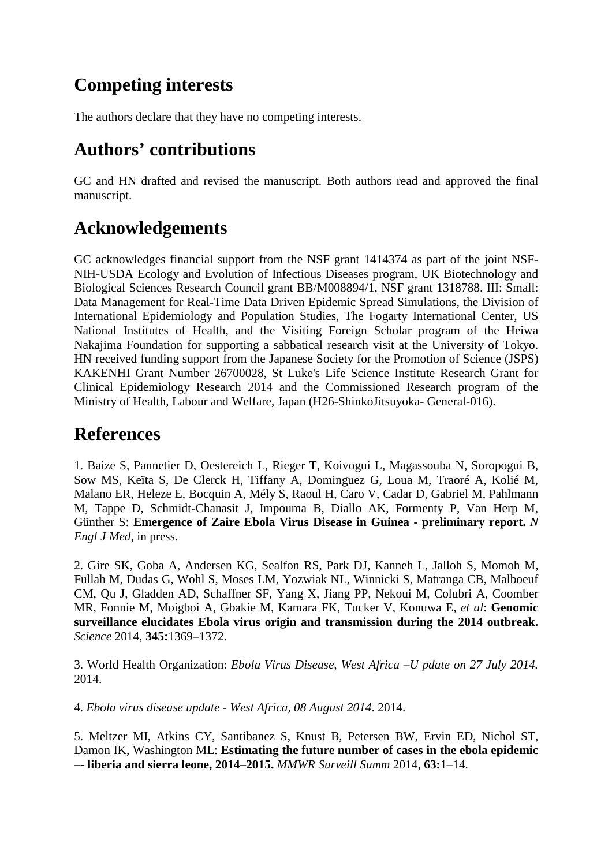# **Competing interests**

The authors declare that they have no competing interests.

## **Authors' contributions**

GC and HN drafted and revised the manuscript. Both authors read and approved the final manuscript.

## **Acknowledgements**

GC acknowledges financial support from the NSF grant 1414374 as part of the joint NSF-NIH-USDA Ecology and Evolution of Infectious Diseases program, UK Biotechnology and Biological Sciences Research Council grant BB/M008894/1, NSF grant 1318788. III: Small: Data Management for Real-Time Data Driven Epidemic Spread Simulations, the Division of International Epidemiology and Population Studies, The Fogarty International Center, US National Institutes of Health, and the Visiting Foreign Scholar program of the Heiwa Nakajima Foundation for supporting a sabbatical research visit at the University of Tokyo. HN received funding support from the Japanese Society for the Promotion of Science (JSPS) KAKENHI Grant Number 26700028, St Luke's Life Science Institute Research Grant for Clinical Epidemiology Research 2014 and the Commissioned Research program of the Ministry of Health, Labour and Welfare, Japan (H26-ShinkoJitsuyoka- General-016).

## **References**

1. Baize S, Pannetier D, Oestereich L, Rieger T, Koivogui L, Magassouba N, Soropogui B, Sow MS, Keïta S, De Clerck H, Tiffany A, Dominguez G, Loua M, Traoré A, Kolié M, Malano ER, Heleze E, Bocquin A, Mély S, Raoul H, Caro V, Cadar D, Gabriel M, Pahlmann M, Tappe D, Schmidt-Chanasit J, Impouma B, Diallo AK, Formenty P, Van Herp M, Günther S: **Emergence of Zaire Ebola Virus Disease in Guinea - preliminary report.** *N Engl J Med*, in press.

2. Gire SK, Goba A, Andersen KG, Sealfon RS, Park DJ, Kanneh L, Jalloh S, Momoh M, Fullah M, Dudas G, Wohl S, Moses LM, Yozwiak NL, Winnicki S, Matranga CB, Malboeuf CM, Qu J, Gladden AD, Schaffner SF, Yang X, Jiang PP, Nekoui M, Colubri A, Coomber MR, Fonnie M, Moigboi A, Gbakie M, Kamara FK, Tucker V, Konuwa E, *et al*: **Genomic surveillance elucidates Ebola virus origin and transmission during the 2014 outbreak.** *Science* 2014, **345:**1369–1372.

3. World Health Organization: *Ebola Virus Disease, West Africa –U pdate on 27 July 2014.* 2014.

4. *Ebola virus disease update - West Africa, 08 August 2014*. 2014.

5. Meltzer MI, Atkins CY, Santibanez S, Knust B, Petersen BW, Ervin ED, Nichol ST, Damon IK, Washington ML: **Estimating the future number of cases in the ebola epidemic –- liberia and sierra leone, 2014–2015.** *MMWR Surveill Summ* 2014, **63:**1–14.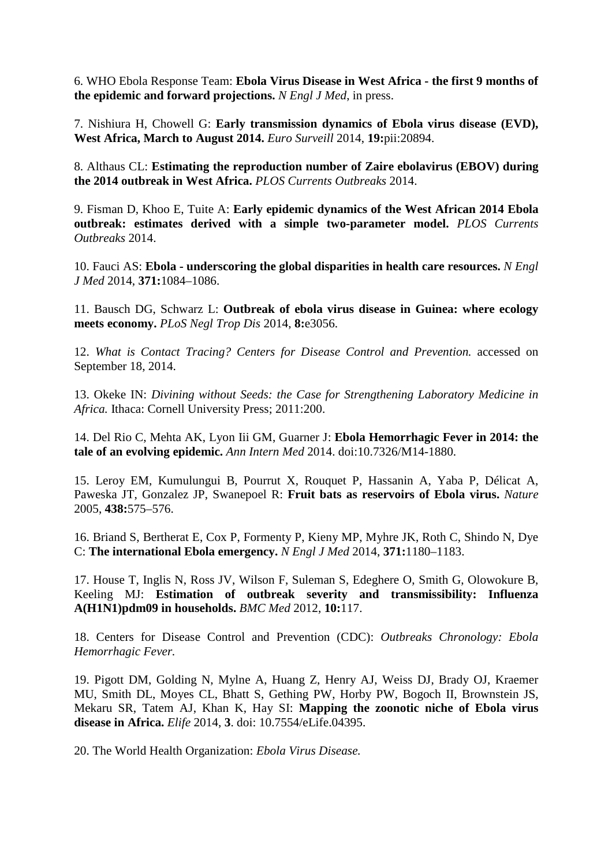6. WHO Ebola Response Team: **Ebola Virus Disease in West Africa - the first 9 months of the epidemic and forward projections.** *N Engl J Med*, in press.

7. Nishiura H, Chowell G: **Early transmission dynamics of Ebola virus disease (EVD), West Africa, March to August 2014.** *Euro Surveill* 2014, **19:**pii:20894.

8. Althaus CL: **Estimating the reproduction number of Zaire ebolavirus (EBOV) during the 2014 outbreak in West Africa.** *PLOS Currents Outbreaks* 2014.

9. Fisman D, Khoo E, Tuite A: **Early epidemic dynamics of the West African 2014 Ebola outbreak: estimates derived with a simple two-parameter model.** *PLOS Currents Outbreaks* 2014.

10. Fauci AS: **Ebola - underscoring the global disparities in health care resources.** *N Engl J Med* 2014, **371:**1084–1086.

11. Bausch DG, Schwarz L: **Outbreak of ebola virus disease in Guinea: where ecology meets economy.** *PLoS Negl Trop Dis* 2014, **8:**e3056.

12. *What is Contact Tracing? Centers for Disease Control and Prevention.* accessed on September 18, 2014.

13. Okeke IN: *Divining without Seeds: the Case for Strengthening Laboratory Medicine in Africa.* Ithaca: Cornell University Press; 2011:200.

14. Del Rio C, Mehta AK, Lyon Iii GM, Guarner J: **Ebola Hemorrhagic Fever in 2014: the tale of an evolving epidemic.** *Ann Intern Med* 2014. doi:10.7326/M14-1880.

15. Leroy EM, Kumulungui B, Pourrut X, Rouquet P, Hassanin A, Yaba P, Délicat A, Paweska JT, Gonzalez JP, Swanepoel R: **Fruit bats as reservoirs of Ebola virus.** *Nature* 2005, **438:**575–576.

16. Briand S, Bertherat E, Cox P, Formenty P, Kieny MP, Myhre JK, Roth C, Shindo N, Dye C: **The international Ebola emergency.** *N Engl J Med* 2014, **371:**1180–1183.

17. House T, Inglis N, Ross JV, Wilson F, Suleman S, Edeghere O, Smith G, Olowokure B, Keeling MJ: **Estimation of outbreak severity and transmissibility: Influenza A(H1N1)pdm09 in households.** *BMC Med* 2012, **10:**117.

18. Centers for Disease Control and Prevention (CDC): *Outbreaks Chronology: Ebola Hemorrhagic Fever.*

19. Pigott DM, Golding N, Mylne A, Huang Z, Henry AJ, Weiss DJ, Brady OJ, Kraemer MU, Smith DL, Moyes CL, Bhatt S, Gething PW, Horby PW, Bogoch II, Brownstein JS, Mekaru SR, Tatem AJ, Khan K, Hay SI: **Mapping the zoonotic niche of Ebola virus disease in Africa.** *Elife* 2014, **3**. doi: 10.7554/eLife.04395.

20. The World Health Organization: *Ebola Virus Disease.*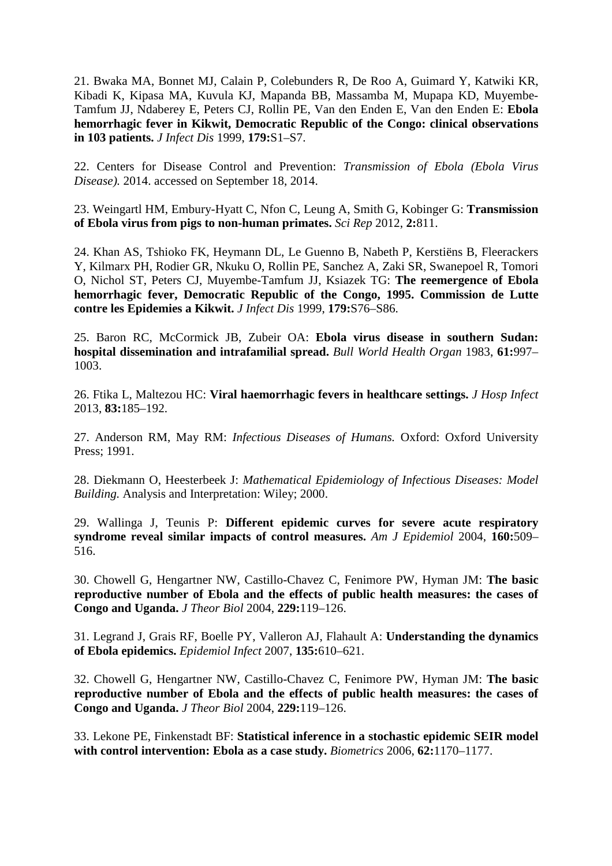21. Bwaka MA, Bonnet MJ, Calain P, Colebunders R, De Roo A, Guimard Y, Katwiki KR, Kibadi K, Kipasa MA, Kuvula KJ, Mapanda BB, Massamba M, Mupapa KD, Muyembe-Tamfum JJ, Ndaberey E, Peters CJ, Rollin PE, Van den Enden E, Van den Enden E: **Ebola hemorrhagic fever in Kikwit, Democratic Republic of the Congo: clinical observations in 103 patients.** *J Infect Dis* 1999, **179:**S1–S7.

22. Centers for Disease Control and Prevention: *Transmission of Ebola (Ebola Virus Disease).* 2014. accessed on September 18, 2014.

23. Weingartl HM, Embury-Hyatt C, Nfon C, Leung A, Smith G, Kobinger G: **Transmission of Ebola virus from pigs to non-human primates.** *Sci Rep* 2012, **2:**811.

24. Khan AS, Tshioko FK, Heymann DL, Le Guenno B, Nabeth P, Kerstiëns B, Fleerackers Y, Kilmarx PH, Rodier GR, Nkuku O, Rollin PE, Sanchez A, Zaki SR, Swanepoel R, Tomori O, Nichol ST, Peters CJ, Muyembe-Tamfum JJ, Ksiazek TG: **The reemergence of Ebola hemorrhagic fever, Democratic Republic of the Congo, 1995. Commission de Lutte contre les Epidemies a Kikwit.** *J Infect Dis* 1999, **179:**S76–S86.

25. Baron RC, McCormick JB, Zubeir OA: **Ebola virus disease in southern Sudan: hospital dissemination and intrafamilial spread.** *Bull World Health Organ* 1983, **61:**997– 1003.

26. Ftika L, Maltezou HC: **Viral haemorrhagic fevers in healthcare settings.** *J Hosp Infect* 2013, **83:**185–192.

27. Anderson RM, May RM: *Infectious Diseases of Humans.* Oxford: Oxford University Press; 1991.

28. Diekmann O, Heesterbeek J: *Mathematical Epidemiology of Infectious Diseases: Model Building.* Analysis and Interpretation: Wiley; 2000.

29. Wallinga J, Teunis P: **Different epidemic curves for severe acute respiratory syndrome reveal similar impacts of control measures.** *Am J Epidemiol* 2004, **160:**509– 516.

30. Chowell G, Hengartner NW, Castillo-Chavez C, Fenimore PW, Hyman JM: **The basic reproductive number of Ebola and the effects of public health measures: the cases of Congo and Uganda.** *J Theor Biol* 2004, **229:**119–126.

31. Legrand J, Grais RF, Boelle PY, Valleron AJ, Flahault A: **Understanding the dynamics of Ebola epidemics.** *Epidemiol Infect* 2007, **135:**610–621.

32. Chowell G, Hengartner NW, Castillo-Chavez C, Fenimore PW, Hyman JM: **The basic reproductive number of Ebola and the effects of public health measures: the cases of Congo and Uganda.** *J Theor Biol* 2004, **229:**119–126.

33. Lekone PE, Finkenstadt BF: **Statistical inference in a stochastic epidemic SEIR model with control intervention: Ebola as a case study.** *Biometrics* 2006, **62:**1170–1177.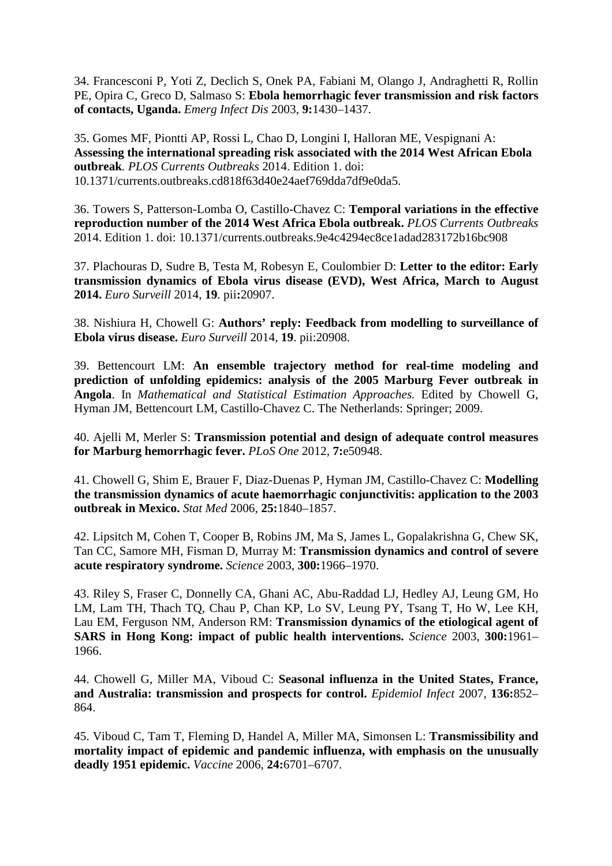34. Francesconi P, Yoti Z, Declich S, Onek PA, Fabiani M, Olango J, Andraghetti R, Rollin PE, Opira C, Greco D, Salmaso S: **Ebola hemorrhagic fever transmission and risk factors of contacts, Uganda.** *Emerg Infect Dis* 2003, **9:**1430–1437.

35. Gomes MF, Piontti AP, Rossi L, Chao D, Longini I, Halloran ME, Vespignani A: **Assessing the international spreading risk associated with the 2014 West African Ebola outbreak***. PLOS Currents Outbreaks* 2014. Edition 1. doi: 10.1371/currents.outbreaks.cd818f63d40e24aef769dda7df9e0da5.

36. Towers S, Patterson-Lomba O, Castillo-Chavez C: **Temporal variations in the effective reproduction number of the 2014 West Africa Ebola outbreak.** *PLOS Currents Outbreaks* 2014. Edition 1. doi: 10.1371/currents.outbreaks.9e4c4294ec8ce1adad283172b16bc908

37. Plachouras D, Sudre B, Testa M, Robesyn E, Coulombier D: **Letter to the editor: Early transmission dynamics of Ebola virus disease (EVD), West Africa, March to August 2014.** *Euro Surveill* 2014, **19**. pii**:**20907.

38. Nishiura H, Chowell G: **Authors' reply: Feedback from modelling to surveillance of Ebola virus disease.** *Euro Surveill* 2014, **19**. pii:20908.

39. Bettencourt LM: **An ensemble trajectory method for real-time modeling and prediction of unfolding epidemics: analysis of the 2005 Marburg Fever outbreak in Angola**. In *Mathematical and Statistical Estimation Approaches.* Edited by Chowell G, Hyman JM, Bettencourt LM, Castillo-Chavez C. The Netherlands: Springer; 2009.

40. Ajelli M, Merler S: **Transmission potential and design of adequate control measures for Marburg hemorrhagic fever.** *PLoS One* 2012, **7:**e50948.

41. Chowell G, Shim E, Brauer F, Diaz-Duenas P, Hyman JM, Castillo-Chavez C: **Modelling the transmission dynamics of acute haemorrhagic conjunctivitis: application to the 2003 outbreak in Mexico.** *Stat Med* 2006, **25:**1840–1857.

42. Lipsitch M, Cohen T, Cooper B, Robins JM, Ma S, James L, Gopalakrishna G, Chew SK, Tan CC, Samore MH, Fisman D, Murray M: **Transmission dynamics and control of severe acute respiratory syndrome.** *Science* 2003, **300:**1966–1970.

43. Riley S, Fraser C, Donnelly CA, Ghani AC, Abu-Raddad LJ, Hedley AJ, Leung GM, Ho LM, Lam TH, Thach TQ, Chau P, Chan KP, Lo SV, Leung PY, Tsang T, Ho W, Lee KH, Lau EM, Ferguson NM, Anderson RM: **Transmission dynamics of the etiological agent of SARS in Hong Kong: impact of public health interventions.** *Science* 2003, **300:**1961– 1966.

44. Chowell G, Miller MA, Viboud C: **Seasonal influenza in the United States, France, and Australia: transmission and prospects for control.** *Epidemiol Infect* 2007, **136:**852– 864.

45. Viboud C, Tam T, Fleming D, Handel A, Miller MA, Simonsen L: **Transmissibility and mortality impact of epidemic and pandemic influenza, with emphasis on the unusually deadly 1951 epidemic.** *Vaccine* 2006, **24:**6701–6707.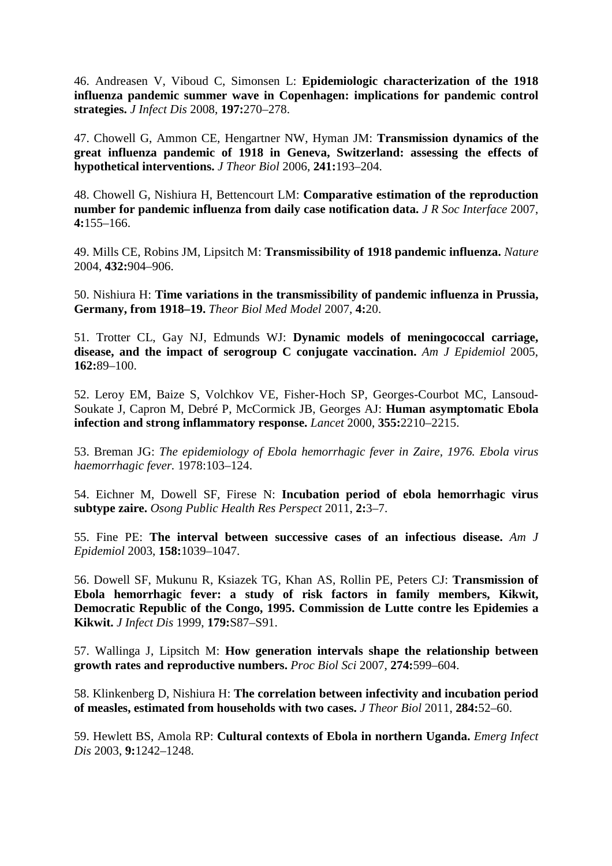46. Andreasen V, Viboud C, Simonsen L: **Epidemiologic characterization of the 1918 influenza pandemic summer wave in Copenhagen: implications for pandemic control strategies.** *J Infect Dis* 2008, **197:**270–278.

47. Chowell G, Ammon CE, Hengartner NW, Hyman JM: **Transmission dynamics of the great influenza pandemic of 1918 in Geneva, Switzerland: assessing the effects of hypothetical interventions.** *J Theor Biol* 2006, **241:**193–204.

48. Chowell G, Nishiura H, Bettencourt LM: **Comparative estimation of the reproduction number for pandemic influenza from daily case notification data.** *J R Soc Interface* 2007, **4:**155–166.

49. Mills CE, Robins JM, Lipsitch M: **Transmissibility of 1918 pandemic influenza.** *Nature* 2004, **432:**904–906.

50. Nishiura H: **Time variations in the transmissibility of pandemic influenza in Prussia, Germany, from 1918–19.** *Theor Biol Med Model* 2007, **4:**20.

51. Trotter CL, Gay NJ, Edmunds WJ: **Dynamic models of meningococcal carriage, disease, and the impact of serogroup C conjugate vaccination.** *Am J Epidemiol* 2005, **162:**89–100.

52. Leroy EM, Baize S, Volchkov VE, Fisher-Hoch SP, Georges-Courbot MC, Lansoud-Soukate J, Capron M, Debré P, McCormick JB, Georges AJ: **Human asymptomatic Ebola infection and strong inflammatory response.** *Lancet* 2000, **355:**2210–2215.

53. Breman JG: *The epidemiology of Ebola hemorrhagic fever in Zaire, 1976. Ebola virus haemorrhagic fever.* 1978:103–124.

54. Eichner M, Dowell SF, Firese N: **Incubation period of ebola hemorrhagic virus subtype zaire.** *Osong Public Health Res Perspect* 2011, **2:**3–7.

55. Fine PE: **The interval between successive cases of an infectious disease.** *Am J Epidemiol* 2003, **158:**1039–1047.

56. Dowell SF, Mukunu R, Ksiazek TG, Khan AS, Rollin PE, Peters CJ: **Transmission of Ebola hemorrhagic fever: a study of risk factors in family members, Kikwit, Democratic Republic of the Congo, 1995. Commission de Lutte contre les Epidemies a Kikwit.** *J Infect Dis* 1999, **179:**S87–S91.

57. Wallinga J, Lipsitch M: **How generation intervals shape the relationship between growth rates and reproductive numbers.** *Proc Biol Sci* 2007, **274:**599–604.

58. Klinkenberg D, Nishiura H: **The correlation between infectivity and incubation period of measles, estimated from households with two cases.** *J Theor Biol* 2011, **284:**52–60.

59. Hewlett BS, Amola RP: **Cultural contexts of Ebola in northern Uganda.** *Emerg Infect Dis* 2003, **9:**1242–1248.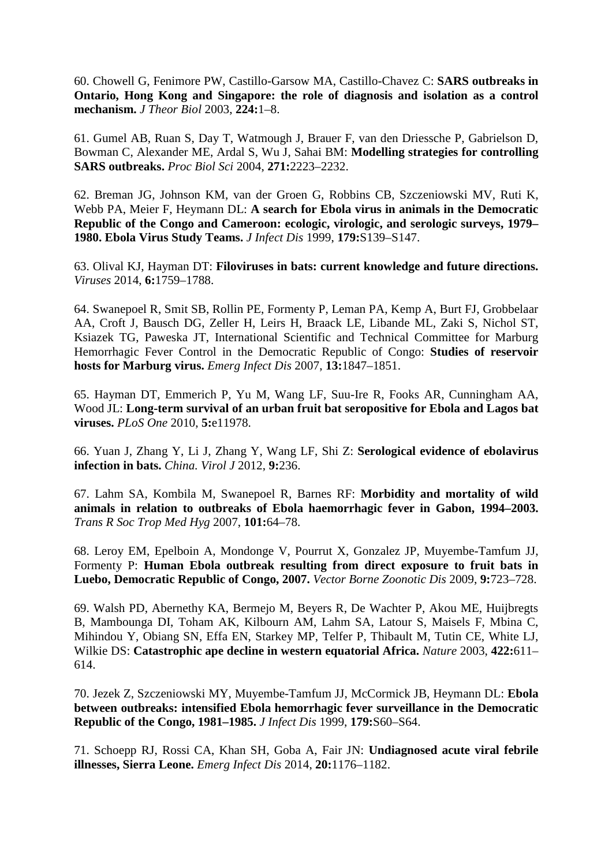60. Chowell G, Fenimore PW, Castillo-Garsow MA, Castillo-Chavez C: **SARS outbreaks in Ontario, Hong Kong and Singapore: the role of diagnosis and isolation as a control mechanism.** *J Theor Biol* 2003, **224:**1–8.

61. Gumel AB, Ruan S, Day T, Watmough J, Brauer F, van den Driessche P, Gabrielson D, Bowman C, Alexander ME, Ardal S, Wu J, Sahai BM: **Modelling strategies for controlling SARS outbreaks.** *Proc Biol Sci* 2004, **271:**2223–2232.

62. Breman JG, Johnson KM, van der Groen G, Robbins CB, Szczeniowski MV, Ruti K, Webb PA, Meier F, Heymann DL: **A search for Ebola virus in animals in the Democratic Republic of the Congo and Cameroon: ecologic, virologic, and serologic surveys, 1979– 1980. Ebola Virus Study Teams.** *J Infect Dis* 1999, **179:**S139–S147.

63. Olival KJ, Hayman DT: **Filoviruses in bats: current knowledge and future directions.** *Viruses* 2014, **6:**1759–1788.

64. Swanepoel R, Smit SB, Rollin PE, Formenty P, Leman PA, Kemp A, Burt FJ, Grobbelaar AA, Croft J, Bausch DG, Zeller H, Leirs H, Braack LE, Libande ML, Zaki S, Nichol ST, Ksiazek TG, Paweska JT, International Scientific and Technical Committee for Marburg Hemorrhagic Fever Control in the Democratic Republic of Congo: **Studies of reservoir hosts for Marburg virus.** *Emerg Infect Dis* 2007, **13:**1847–1851.

65. Hayman DT, Emmerich P, Yu M, Wang LF, Suu-Ire R, Fooks AR, Cunningham AA, Wood JL: **Long-term survival of an urban fruit bat seropositive for Ebola and Lagos bat viruses.** *PLoS One* 2010, **5:**e11978.

66. Yuan J, Zhang Y, Li J, Zhang Y, Wang LF, Shi Z: **Serological evidence of ebolavirus infection in bats.** *China. Virol J* 2012, **9:**236.

67. Lahm SA, Kombila M, Swanepoel R, Barnes RF: **Morbidity and mortality of wild animals in relation to outbreaks of Ebola haemorrhagic fever in Gabon, 1994–2003.** *Trans R Soc Trop Med Hyg* 2007, **101:**64–78.

68. Leroy EM, Epelboin A, Mondonge V, Pourrut X, Gonzalez JP, Muyembe-Tamfum JJ, Formenty P: **Human Ebola outbreak resulting from direct exposure to fruit bats in Luebo, Democratic Republic of Congo, 2007.** *Vector Borne Zoonotic Dis* 2009, **9:**723–728.

69. Walsh PD, Abernethy KA, Bermejo M, Beyers R, De Wachter P, Akou ME, Huijbregts B, Mambounga DI, Toham AK, Kilbourn AM, Lahm SA, Latour S, Maisels F, Mbina C, Mihindou Y, Obiang SN, Effa EN, Starkey MP, Telfer P, Thibault M, Tutin CE, White LJ, Wilkie DS: **Catastrophic ape decline in western equatorial Africa.** *Nature* 2003, **422:**611– 614.

70. Jezek Z, Szczeniowski MY, Muyembe-Tamfum JJ, McCormick JB, Heymann DL: **Ebola between outbreaks: intensified Ebola hemorrhagic fever surveillance in the Democratic Republic of the Congo, 1981–1985.** *J Infect Dis* 1999, **179:**S60–S64.

71. Schoepp RJ, Rossi CA, Khan SH, Goba A, Fair JN: **Undiagnosed acute viral febrile illnesses, Sierra Leone.** *Emerg Infect Dis* 2014, **20:**1176–1182.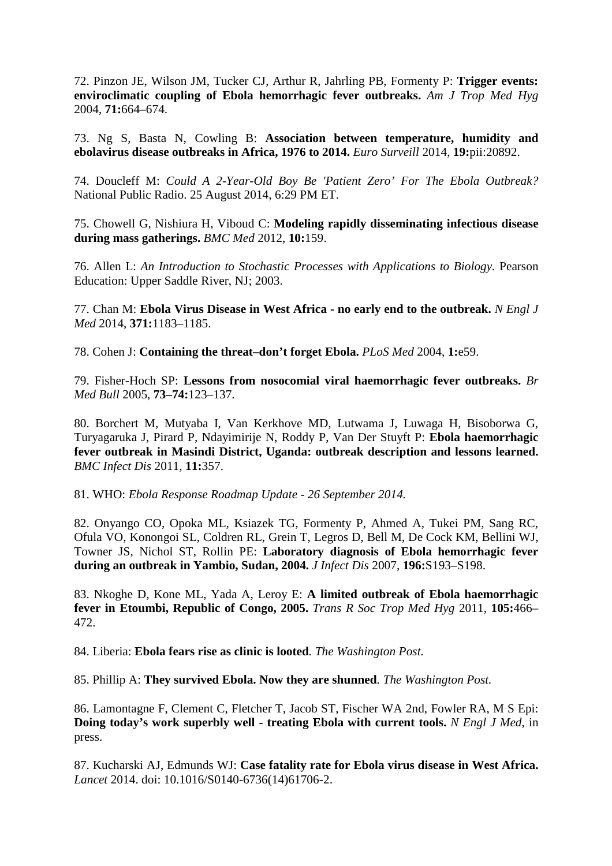72. Pinzon JE, Wilson JM, Tucker CJ, Arthur R, Jahrling PB, Formenty P: **Trigger events: enviroclimatic coupling of Ebola hemorrhagic fever outbreaks.** *Am J Trop Med Hyg* 2004, **71:**664–674.

73. Ng S, Basta N, Cowling B: **Association between temperature, humidity and ebolavirus disease outbreaks in Africa, 1976 to 2014.** *Euro Surveill* 2014, **19:**pii:20892.

74. Doucleff M: *Could A 2-Year-Old Boy Be 'Patient Zero' For The Ebola Outbreak?* National Public Radio. 25 August 2014, 6:29 PM ET.

75. Chowell G, Nishiura H, Viboud C: **Modeling rapidly disseminating infectious disease during mass gatherings.** *BMC Med* 2012, **10:**159.

76. Allen L: *An Introduction to Stochastic Processes with Applications to Biology.* Pearson Education: Upper Saddle River, NJ; 2003.

77. Chan M: **Ebola Virus Disease in West Africa - no early end to the outbreak.** *N Engl J Med* 2014, **371:**1183–1185.

78. Cohen J: **Containing the threat–don't forget Ebola.** *PLoS Med* 2004, **1:**e59.

79. Fisher-Hoch SP: **Lessons from nosocomial viral haemorrhagic fever outbreaks.** *Br Med Bull* 2005, **73–74:**123–137.

80. Borchert M, Mutyaba I, Van Kerkhove MD, Lutwama J, Luwaga H, Bisoborwa G, Turyagaruka J, Pirard P, Ndayimirije N, Roddy P, Van Der Stuyft P: **Ebola haemorrhagic fever outbreak in Masindi District, Uganda: outbreak description and lessons learned.** *BMC Infect Dis* 2011, **11:**357.

81. WHO: *Ebola Response Roadmap Update - 26 September 2014.*

82. Onyango CO, Opoka ML, Ksiazek TG, Formenty P, Ahmed A, Tukei PM, Sang RC, Ofula VO, Konongoi SL, Coldren RL, Grein T, Legros D, Bell M, De Cock KM, Bellini WJ, Towner JS, Nichol ST, Rollin PE: **Laboratory diagnosis of Ebola hemorrhagic fever during an outbreak in Yambio, Sudan, 2004.** *J Infect Dis* 2007, **196:**S193–S198.

83. Nkoghe D, Kone ML, Yada A, Leroy E: **A limited outbreak of Ebola haemorrhagic fever in Etoumbi, Republic of Congo, 2005.** *Trans R Soc Trop Med Hyg* 2011, **105:**466– 472.

84. Liberia: **Ebola fears rise as clinic is looted***. The Washington Post.*

85. Phillip A: **They survived Ebola. Now they are shunned***. The Washington Post.*

86. Lamontagne F, Clement C, Fletcher T, Jacob ST, Fischer WA 2nd, Fowler RA, M S Epi: **Doing today's work superbly well - treating Ebola with current tools.** *N Engl J Med*, in press.

87. Kucharski AJ, Edmunds WJ: **Case fatality rate for Ebola virus disease in West Africa.** *Lancet* 2014. doi: 10.1016/S0140-6736(14)61706-2.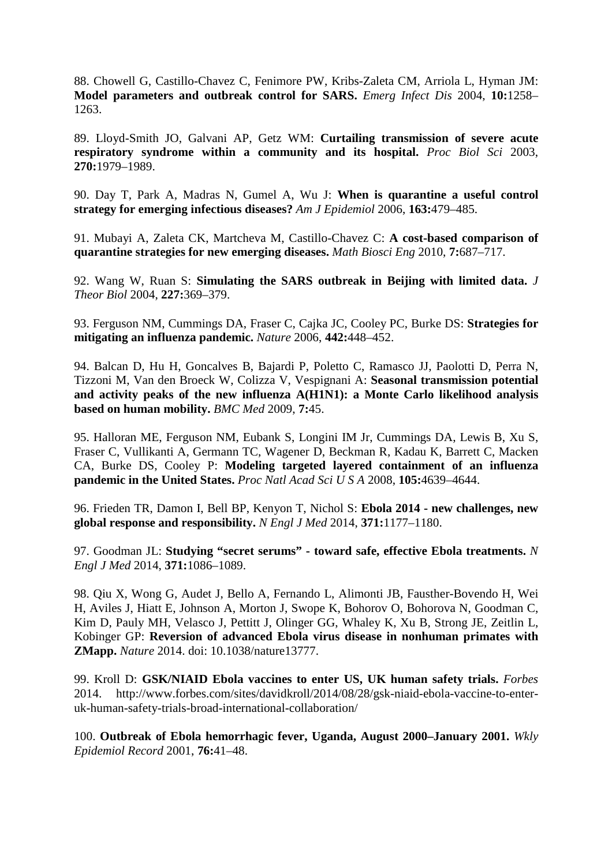88. Chowell G, Castillo-Chavez C, Fenimore PW, Kribs-Zaleta CM, Arriola L, Hyman JM: **Model parameters and outbreak control for SARS.** *Emerg Infect Dis* 2004, **10:**1258– 1263.

89. Lloyd-Smith JO, Galvani AP, Getz WM: **Curtailing transmission of severe acute respiratory syndrome within a community and its hospital.** *Proc Biol Sci* 2003, **270:**1979–1989.

90. Day T, Park A, Madras N, Gumel A, Wu J: **When is quarantine a useful control strategy for emerging infectious diseases?** *Am J Epidemiol* 2006, **163:**479–485.

91. Mubayi A, Zaleta CK, Martcheva M, Castillo-Chavez C: **A cost-based comparison of quarantine strategies for new emerging diseases.** *Math Biosci Eng* 2010, **7:**687–717.

92. Wang W, Ruan S: **Simulating the SARS outbreak in Beijing with limited data.** *J Theor Biol* 2004, **227:**369–379.

93. Ferguson NM, Cummings DA, Fraser C, Cajka JC, Cooley PC, Burke DS: **Strategies for mitigating an influenza pandemic.** *Nature* 2006, **442:**448–452.

94. Balcan D, Hu H, Goncalves B, Bajardi P, Poletto C, Ramasco JJ, Paolotti D, Perra N, Tizzoni M, Van den Broeck W, Colizza V, Vespignani A: **Seasonal transmission potential and activity peaks of the new influenza A(H1N1): a Monte Carlo likelihood analysis based on human mobility.** *BMC Med* 2009, **7:**45.

95. Halloran ME, Ferguson NM, Eubank S, Longini IM Jr, Cummings DA, Lewis B, Xu S, Fraser C, Vullikanti A, Germann TC, Wagener D, Beckman R, Kadau K, Barrett C, Macken CA, Burke DS, Cooley P: **Modeling targeted layered containment of an influenza pandemic in the United States.** *Proc Natl Acad Sci U S A* 2008, **105:**4639–4644.

96. Frieden TR, Damon I, Bell BP, Kenyon T, Nichol S: **Ebola 2014 - new challenges, new global response and responsibility.** *N Engl J Med* 2014, **371:**1177–1180.

97. Goodman JL: **Studying "secret serums" - toward safe, effective Ebola treatments.** *N Engl J Med* 2014, **371:**1086–1089.

98. Qiu X, Wong G, Audet J, Bello A, Fernando L, Alimonti JB, Fausther-Bovendo H, Wei H, Aviles J, Hiatt E, Johnson A, Morton J, Swope K, Bohorov O, Bohorova N, Goodman C, Kim D, Pauly MH, Velasco J, Pettitt J, Olinger GG, Whaley K, Xu B, Strong JE, Zeitlin L, Kobinger GP: **Reversion of advanced Ebola virus disease in nonhuman primates with ZMapp.** *Nature* 2014. doi: 10.1038/nature13777.

99. Kroll D: **GSK/NIAID Ebola vaccines to enter US, UK human safety trials.** *Forbes* 2014. http://www.forbes.com/sites/davidkroll/2014/08/28/gsk-niaid-ebola-vaccine-to-enteruk-human-safety-trials-broad-international-collaboration/

100. **Outbreak of Ebola hemorrhagic fever, Uganda, August 2000–January 2001.** *Wkly Epidemiol Record* 2001, **76:**41–48.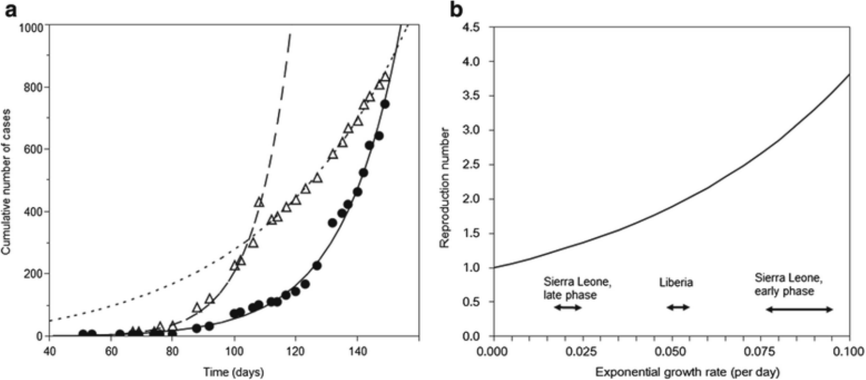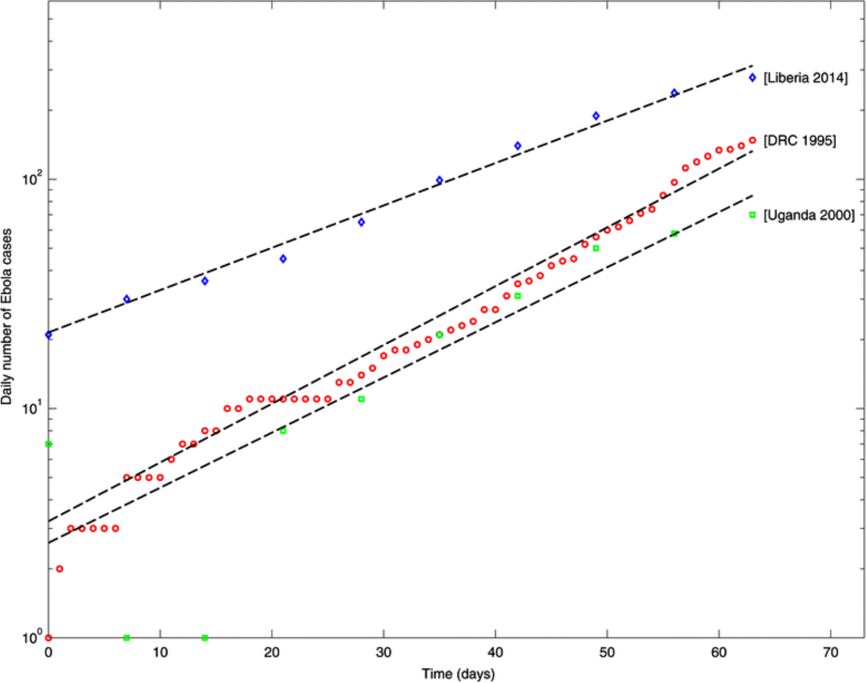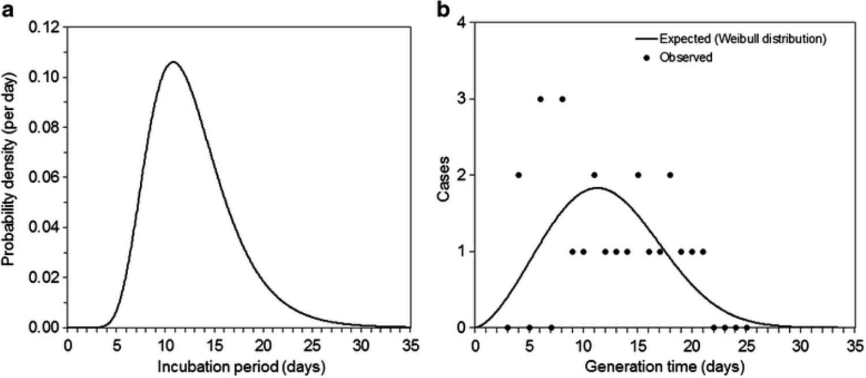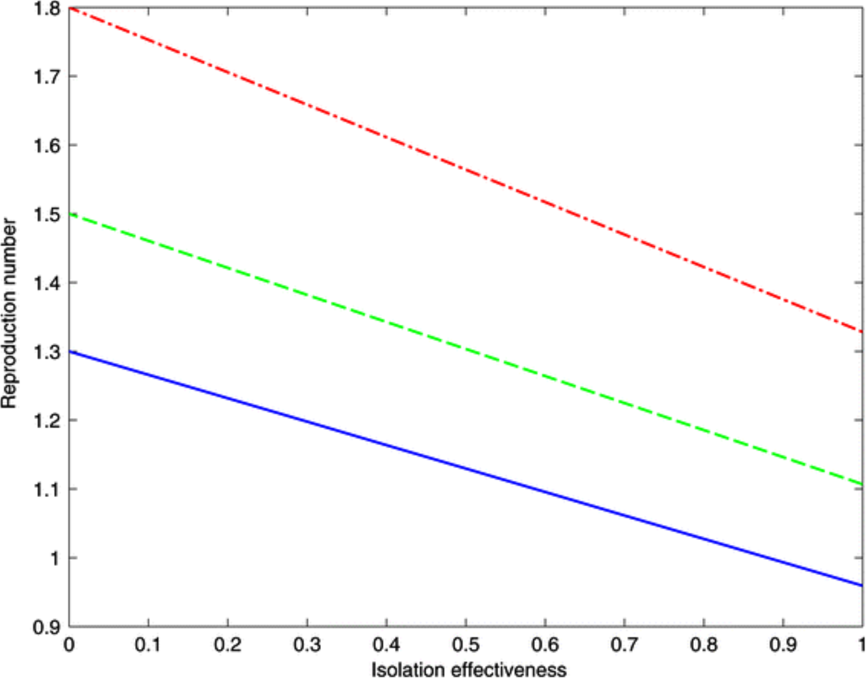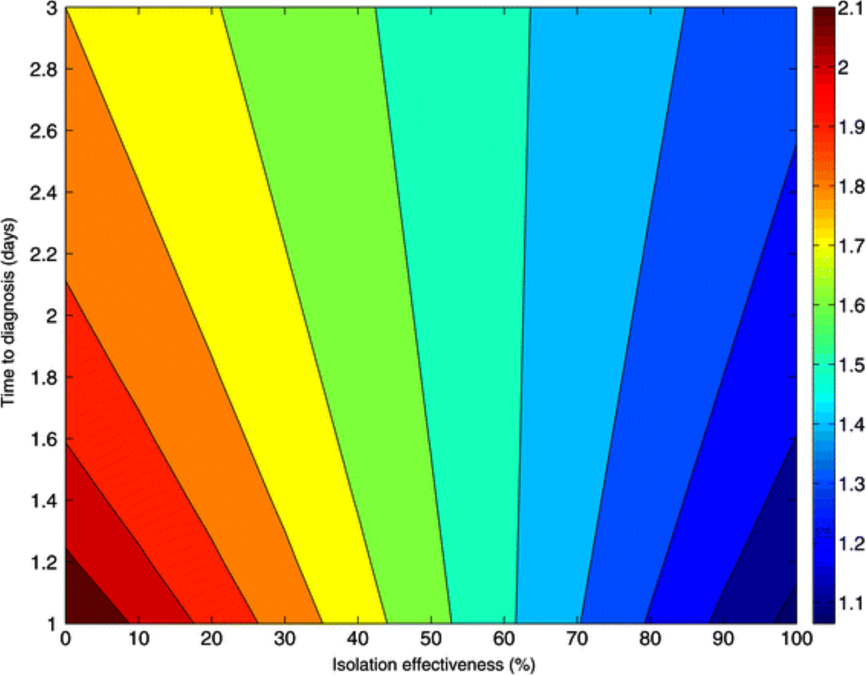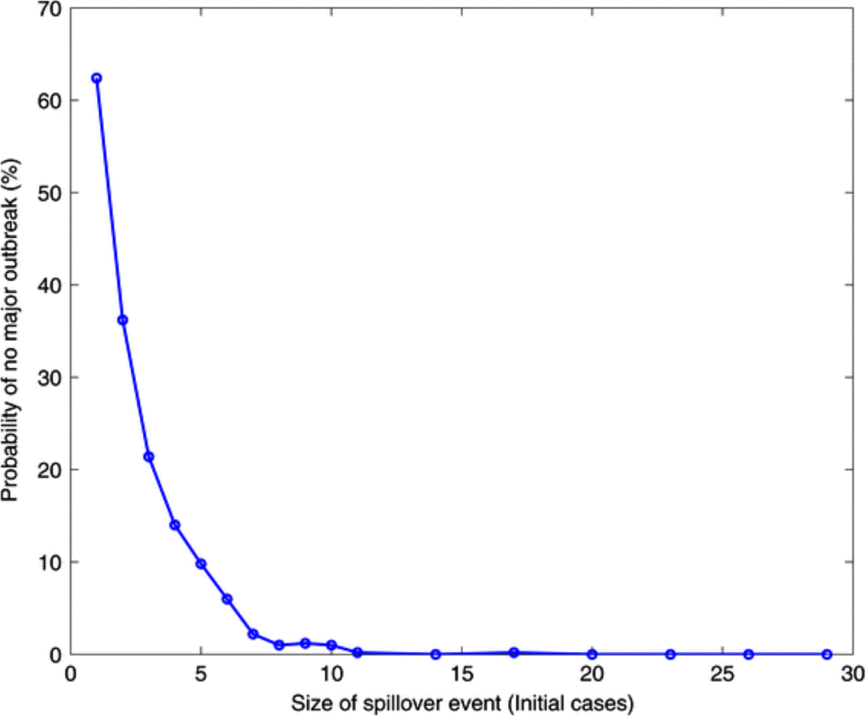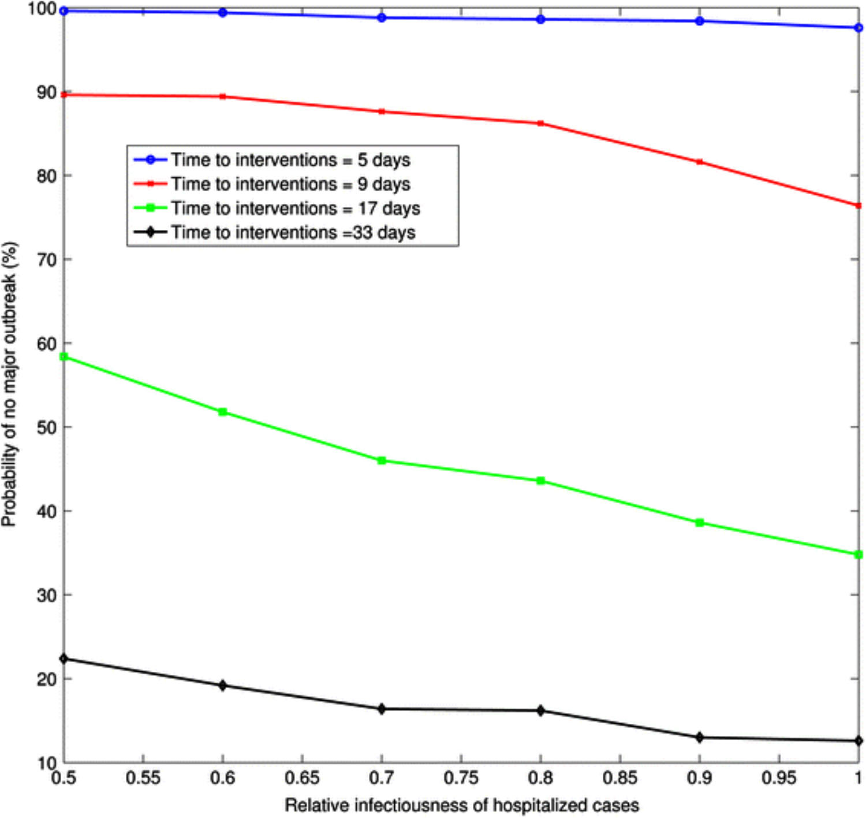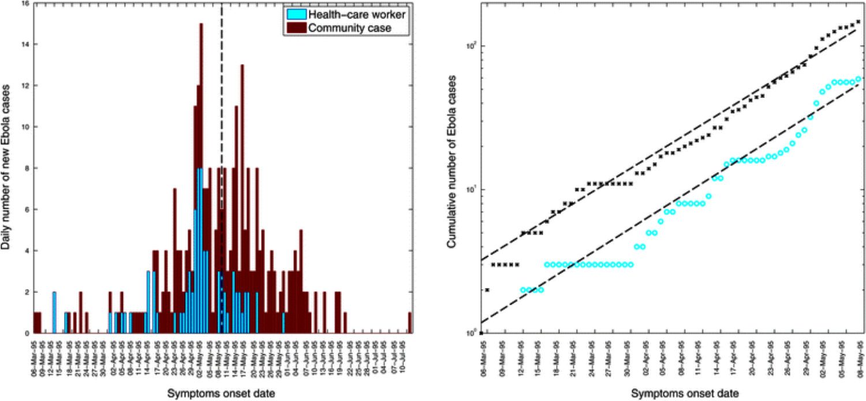

Symptoms onset date

#### Symptoms onset date